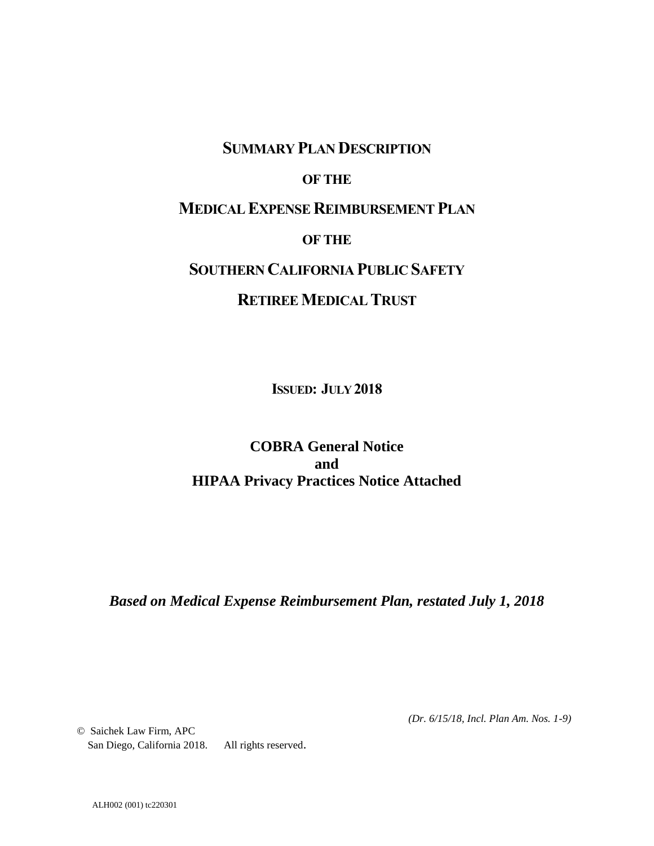# SUMMARY PLAN DESCRIPTION

## OF THE

# MEDICAL EXPENSE REIMBURSEMENT PLAN

## OF THE

# SOUTHERN CALIFORNIA PUBLIC SAFETY

# RETIREE MEDICAL TRUST

ISSUED: JULY 2018

## **COBRA General Notice and HIPAA Privacy Practices Notice Attached**

*Based on Medical Expense Reimbursement Plan, restated July 1, 2018*

*(Dr. 6/15/18, Incl. Plan Am. Nos. 1-9)*

© Saichek Law Firm, APC San Diego, California 2018. All rights reserved.

ALH002 (001) tc220301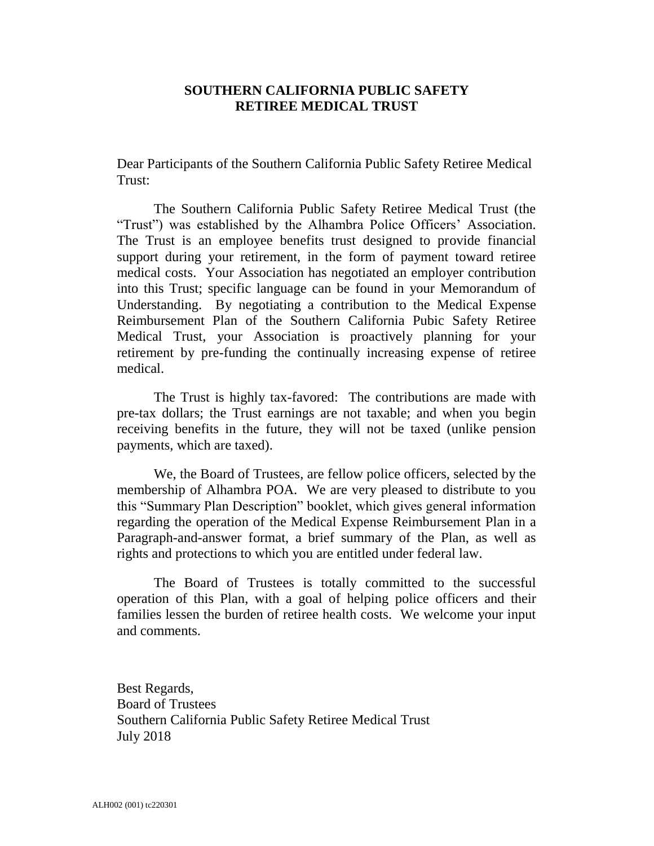## **SOUTHERN CALIFORNIA PUBLIC SAFETY RETIREE MEDICAL TRUST**

Dear Participants of the Southern California Public Safety Retiree Medical Trust:

The Southern California Public Safety Retiree Medical Trust (the "Trust") was established by the Alhambra Police Officers' Association. The Trust is an employee benefits trust designed to provide financial support during your retirement, in the form of payment toward retiree medical costs. Your Association has negotiated an employer contribution into this Trust; specific language can be found in your Memorandum of Understanding. By negotiating a contribution to the Medical Expense Reimbursement Plan of the Southern California Pubic Safety Retiree Medical Trust, your Association is proactively planning for your retirement by pre-funding the continually increasing expense of retiree medical.

The Trust is highly tax-favored: The contributions are made with pre-tax dollars; the Trust earnings are not taxable; and when you begin receiving benefits in the future, they will not be taxed (unlike pension payments, which are taxed).

We, the Board of Trustees, are fellow police officers, selected by the membership of Alhambra POA. We are very pleased to distribute to you this "Summary Plan Description" booklet, which gives general information regarding the operation of the Medical Expense Reimbursement Plan in a Paragraph-and-answer format, a brief summary of the Plan, as well as rights and protections to which you are entitled under federal law.

The Board of Trustees is totally committed to the successful operation of this Plan, with a goal of helping police officers and their families lessen the burden of retiree health costs. We welcome your input and comments.

Best Regards, Board of Trustees Southern California Public Safety Retiree Medical Trust July 2018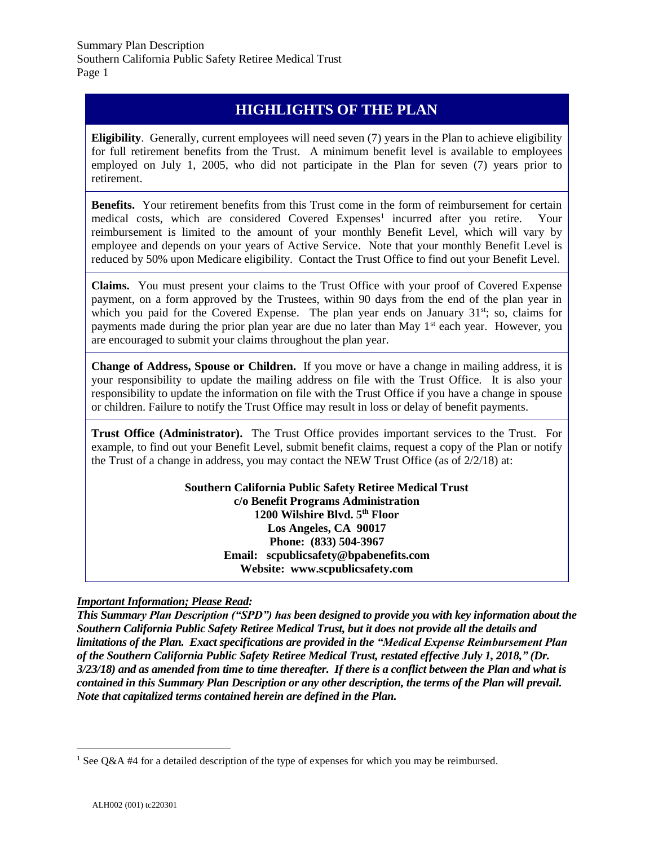# **HIGHLIGHTS OF THE PLAN**

**Eligibility**. Generally, current employees will need seven (7) years in the Plan to achieve eligibility for full retirement benefits from the Trust. A minimum benefit level is available to employees employed on July 1, 2005, who did not participate in the Plan for seven (7) years prior to retirement.

**Benefits.** Your retirement benefits from this Trust come in the form of reimbursement for certain medical costs, which are considered Covered Expenses<sup>1</sup> incurred after you retire. Your reimbursement is limited to the amount of your monthly Benefit Level, which will vary by employee and depends on your years of Active Service. Note that your monthly Benefit Level is reduced by 50% upon Medicare eligibility. Contact the Trust Office to find out your Benefit Level.

**Claims.** You must present your claims to the Trust Office with your proof of Covered Expense payment, on a form approved by the Trustees, within 90 days from the end of the plan year in which you paid for the Covered Expense. The plan year ends on January  $31<sup>st</sup>$ ; so, claims for payments made during the prior plan year are due no later than May  $1<sup>st</sup>$  each year. However, you are encouraged to submit your claims throughout the plan year.

**Change of Address, Spouse or Children.** If you move or have a change in mailing address, it is your responsibility to update the mailing address on file with the Trust Office. It is also your responsibility to update the information on file with the Trust Office if you have a change in spouse or children. Failure to notify the Trust Office may result in loss or delay of benefit payments.

**Trust Office (Administrator).** The Trust Office provides important services to the Trust. For example, to find out your Benefit Level, submit benefit claims, request a copy of the Plan or notify the Trust of a change in address, you may contact the NEW Trust Office (as of  $2/2/18$ ) at:

> **Southern California Public Safety Retiree Medical Trust c/o Benefit Programs Administration 1200 Wilshire Blvd. 5th Floor Los Angeles, CA 90017 Phone: (833) 504-3967 Email: scpublicsafety@bpabenefits.com Website: www.scpublicsafety.com**

## *Important Information; Please Read:*

*This Summary Plan Description ("SPD") has been designed to provide you with key information about the Southern California Public Safety Retiree Medical Trust, but it does not provide all the details and limitations of the Plan. Exact specifications are provided in the "Medical Expense Reimbursement Plan of the Southern California Public Safety Retiree Medical Trust, restated effective July 1, 2018," (Dr. 3/23/18) and as amended from time to time thereafter. If there is a conflict between the Plan and what is contained in this Summary Plan Description or any other description, the terms of the Plan will prevail. Note that capitalized terms contained herein are defined in the Plan.*

<sup>&</sup>lt;sup>1</sup> See Q&A #4 for a detailed description of the type of expenses for which you may be reimbursed.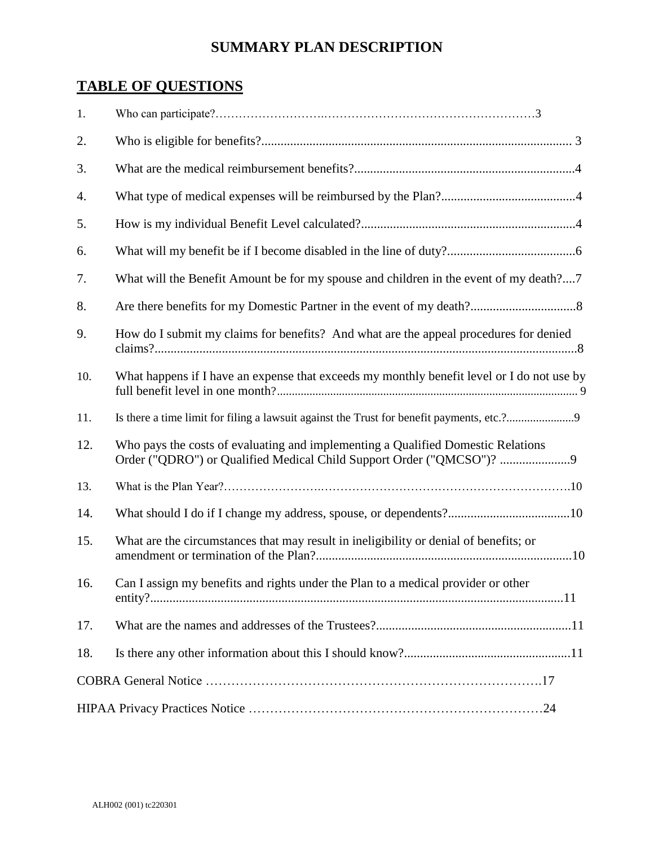# **SUMMARY PLAN DESCRIPTION**

# **TABLE OF QUESTIONS**

| 1.  |                                                                                                                                                        |  |
|-----|--------------------------------------------------------------------------------------------------------------------------------------------------------|--|
| 2.  |                                                                                                                                                        |  |
| 3.  |                                                                                                                                                        |  |
| 4.  |                                                                                                                                                        |  |
| 5.  |                                                                                                                                                        |  |
| 6.  |                                                                                                                                                        |  |
| 7.  | What will the Benefit Amount be for my spouse and children in the event of my death?7                                                                  |  |
| 8.  |                                                                                                                                                        |  |
| 9.  | How do I submit my claims for benefits? And what are the appeal procedures for denied                                                                  |  |
| 10. | What happens if I have an expense that exceeds my monthly benefit level or I do not use by                                                             |  |
| 11. |                                                                                                                                                        |  |
| 12. | Who pays the costs of evaluating and implementing a Qualified Domestic Relations<br>Order ("QDRO") or Qualified Medical Child Support Order ("QMCSO")? |  |
| 13. |                                                                                                                                                        |  |
| 14. |                                                                                                                                                        |  |
| 15. | What are the circumstances that may result in ineligibility or denial of benefits; or                                                                  |  |
| 16. | Can I assign my benefits and rights under the Plan to a medical provider or other                                                                      |  |
| 17. |                                                                                                                                                        |  |
| 18. |                                                                                                                                                        |  |
|     |                                                                                                                                                        |  |
|     |                                                                                                                                                        |  |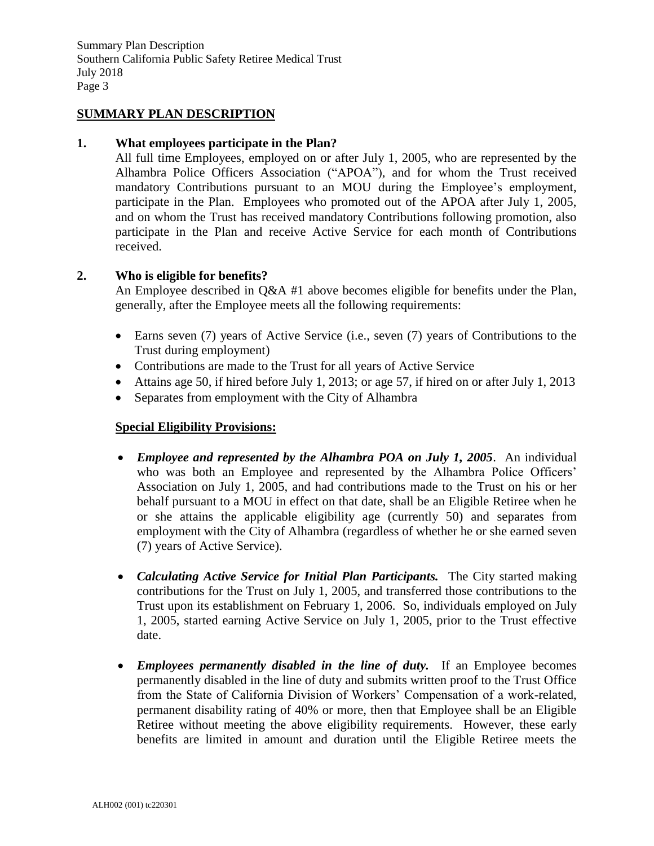## **SUMMARY PLAN DESCRIPTION**

#### **1. What employees participate in the Plan?**

All full time Employees, employed on or after July 1, 2005, who are represented by the Alhambra Police Officers Association ("APOA"), and for whom the Trust received mandatory Contributions pursuant to an MOU during the Employee's employment, participate in the Plan. Employees who promoted out of the APOA after July 1, 2005, and on whom the Trust has received mandatory Contributions following promotion, also participate in the Plan and receive Active Service for each month of Contributions received.

#### **2. Who is eligible for benefits?**

An Employee described in Q&A #1 above becomes eligible for benefits under the Plan, generally, after the Employee meets all the following requirements:

- Earns seven (7) years of Active Service (i.e., seven (7) years of Contributions to the Trust during employment)
- Contributions are made to the Trust for all years of Active Service
- Attains age 50, if hired before July 1, 2013; or age 57, if hired on or after July 1, 2013
- Separates from employment with the City of Alhambra

## **Special Eligibility Provisions:**

- *Employee and represented by the Alhambra POA on July 1, 2005*. An individual who was both an Employee and represented by the Alhambra Police Officers' Association on July 1, 2005, and had contributions made to the Trust on his or her behalf pursuant to a MOU in effect on that date, shall be an Eligible Retiree when he or she attains the applicable eligibility age (currently 50) and separates from employment with the City of Alhambra (regardless of whether he or she earned seven (7) years of Active Service).
- *Calculating Active Service for Initial Plan Participants.* The City started making contributions for the Trust on July 1, 2005, and transferred those contributions to the Trust upon its establishment on February 1, 2006. So, individuals employed on July 1, 2005, started earning Active Service on July 1, 2005, prior to the Trust effective date.
- *Employees permanently disabled in the line of duty*. If an Employee becomes permanently disabled in the line of duty and submits written proof to the Trust Office from the State of California Division of Workers' Compensation of a work-related, permanent disability rating of 40% or more, then that Employee shall be an Eligible Retiree without meeting the above eligibility requirements. However, these early benefits are limited in amount and duration until the Eligible Retiree meets the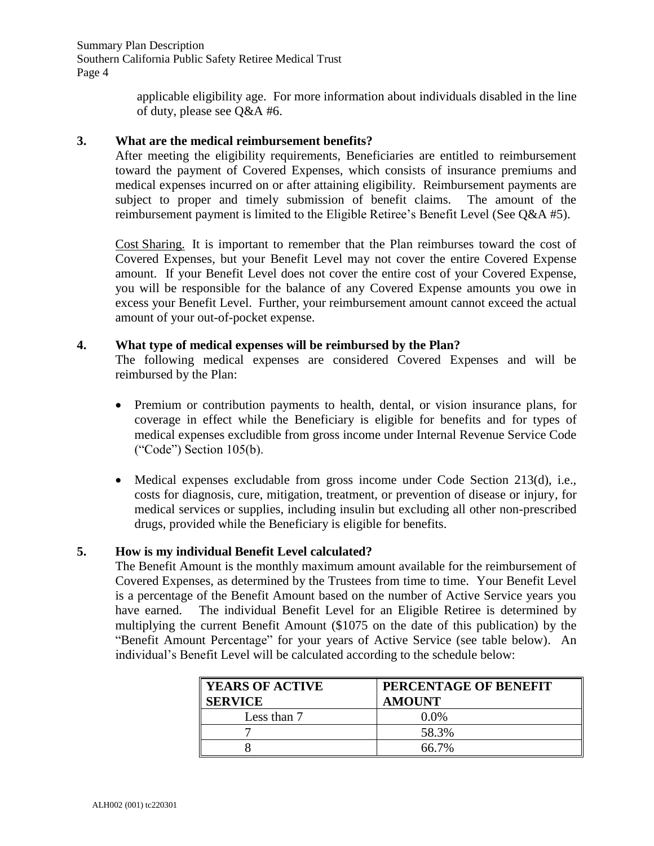Summary Plan Description Southern California Public Safety Retiree Medical Trust Page 4

> applicable eligibility age. For more information about individuals disabled in the line of duty, please see Q&A #6.

## **3. What are the medical reimbursement benefits?**

After meeting the eligibility requirements, Beneficiaries are entitled to reimbursement toward the payment of Covered Expenses, which consists of insurance premiums and medical expenses incurred on or after attaining eligibility. Reimbursement payments are subject to proper and timely submission of benefit claims. The amount of the reimbursement payment is limited to the Eligible Retiree's Benefit Level (See Q&A #5).

Cost Sharing. It is important to remember that the Plan reimburses toward the cost of Covered Expenses, but your Benefit Level may not cover the entire Covered Expense amount. If your Benefit Level does not cover the entire cost of your Covered Expense, you will be responsible for the balance of any Covered Expense amounts you owe in excess your Benefit Level. Further, your reimbursement amount cannot exceed the actual amount of your out-of-pocket expense.

## **4. What type of medical expenses will be reimbursed by the Plan?**

The following medical expenses are considered Covered Expenses and will be reimbursed by the Plan:

- Premium or contribution payments to health, dental, or vision insurance plans, for coverage in effect while the Beneficiary is eligible for benefits and for types of medical expenses excludible from gross income under Internal Revenue Service Code ("Code") Section 105(b).
- Medical expenses excludable from gross income under Code Section 213(d), i.e., costs for diagnosis, cure, mitigation, treatment, or prevention of disease or injury, for medical services or supplies, including insulin but excluding all other non-prescribed drugs, provided while the Beneficiary is eligible for benefits.

## **5. How is my individual Benefit Level calculated?**

The Benefit Amount is the monthly maximum amount available for the reimbursement of Covered Expenses, as determined by the Trustees from time to time. Your Benefit Level is a percentage of the Benefit Amount based on the number of Active Service years you have earned. The individual Benefit Level for an Eligible Retiree is determined by multiplying the current Benefit Amount (\$1075 on the date of this publication) by the "Benefit Amount Percentage" for your years of Active Service (see table below). An individual's Benefit Level will be calculated according to the schedule below:

| <b>YEARS OF ACTIVE</b><br>$\overline{\phantom{a}}$ SERVICE | PERCENTAGE OF BENEFIT<br><b>AMOUNT</b> |
|------------------------------------------------------------|----------------------------------------|
| Less than 7                                                | $0.0\%$                                |
|                                                            | 58.3%                                  |
|                                                            | 66.7%                                  |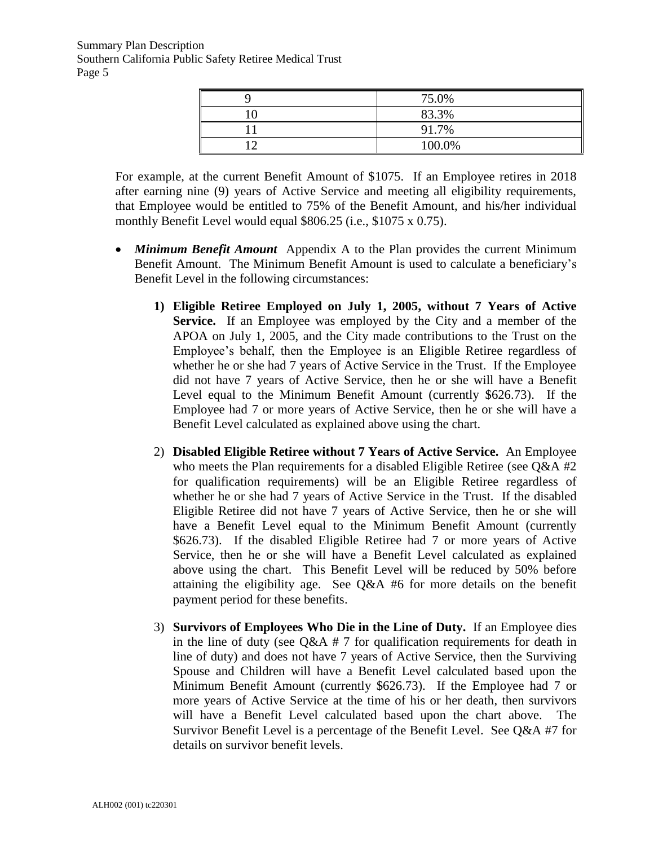| 75.0%  |
|--------|
| 83.3%  |
| 91.7%  |
| 100.0% |

For example, at the current Benefit Amount of \$1075. If an Employee retires in 2018 after earning nine (9) years of Active Service and meeting all eligibility requirements, that Employee would be entitled to 75% of the Benefit Amount, and his/her individual monthly Benefit Level would equal \$806.25 (i.e., \$1075 x 0.75).

- *Minimum Benefit Amount* Appendix A to the Plan provides the current Minimum Benefit Amount. The Minimum Benefit Amount is used to calculate a beneficiary's Benefit Level in the following circumstances:
	- **1) Eligible Retiree Employed on July 1, 2005, without 7 Years of Active Service.** If an Employee was employed by the City and a member of the APOA on July 1, 2005, and the City made contributions to the Trust on the Employee's behalf, then the Employee is an Eligible Retiree regardless of whether he or she had 7 years of Active Service in the Trust. If the Employee did not have 7 years of Active Service, then he or she will have a Benefit Level equal to the Minimum Benefit Amount (currently \$626.73). If the Employee had 7 or more years of Active Service, then he or she will have a Benefit Level calculated as explained above using the chart.
	- 2) **Disabled Eligible Retiree without 7 Years of Active Service.** An Employee who meets the Plan requirements for a disabled Eligible Retiree (see  $Q\&A \#2$ for qualification requirements) will be an Eligible Retiree regardless of whether he or she had 7 years of Active Service in the Trust. If the disabled Eligible Retiree did not have 7 years of Active Service, then he or she will have a Benefit Level equal to the Minimum Benefit Amount (currently \$626.73). If the disabled Eligible Retiree had 7 or more years of Active Service, then he or she will have a Benefit Level calculated as explained above using the chart. This Benefit Level will be reduced by 50% before attaining the eligibility age. See Q&A #6 for more details on the benefit payment period for these benefits.
	- 3) **Survivors of Employees Who Die in the Line of Duty.** If an Employee dies in the line of duty (see  $Q\&A \# 7$  for qualification requirements for death in line of duty) and does not have 7 years of Active Service, then the Surviving Spouse and Children will have a Benefit Level calculated based upon the Minimum Benefit Amount (currently \$626.73). If the Employee had 7 or more years of Active Service at the time of his or her death, then survivors will have a Benefit Level calculated based upon the chart above. The Survivor Benefit Level is a percentage of the Benefit Level. See Q&A #7 for details on survivor benefit levels.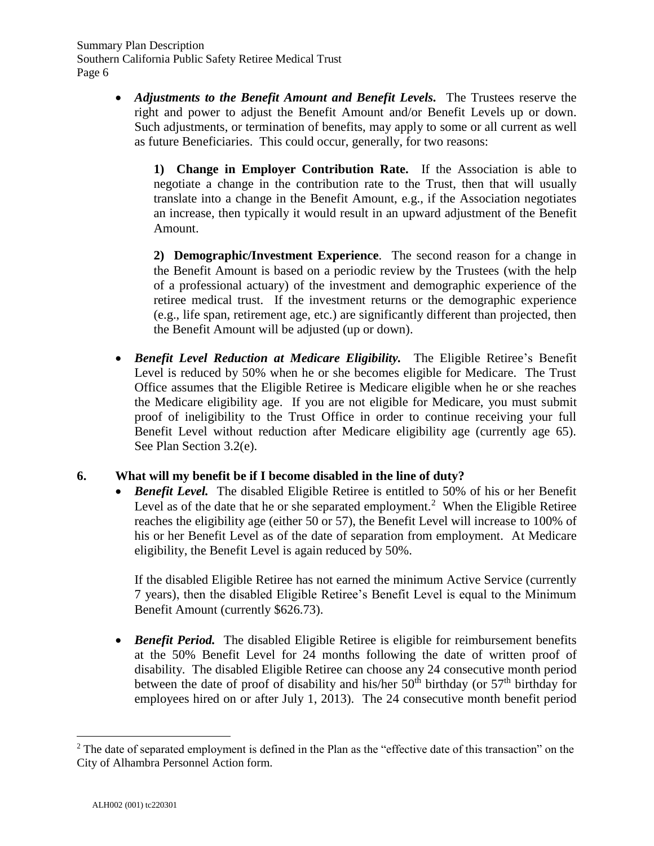• *Adjustments to the Benefit Amount and Benefit Levels.* The Trustees reserve the right and power to adjust the Benefit Amount and/or Benefit Levels up or down. Such adjustments, or termination of benefits, may apply to some or all current as well as future Beneficiaries. This could occur, generally, for two reasons:

**1) Change in Employer Contribution Rate.** If the Association is able to negotiate a change in the contribution rate to the Trust, then that will usually translate into a change in the Benefit Amount, e.g., if the Association negotiates an increase, then typically it would result in an upward adjustment of the Benefit Amount.

**2) Demographic/Investment Experience**. The second reason for a change in the Benefit Amount is based on a periodic review by the Trustees (with the help of a professional actuary) of the investment and demographic experience of the retiree medical trust. If the investment returns or the demographic experience (e.g., life span, retirement age, etc.) are significantly different than projected, then the Benefit Amount will be adjusted (up or down).

• *Benefit Level Reduction at Medicare Eligibility.* The Eligible Retiree's Benefit Level is reduced by 50% when he or she becomes eligible for Medicare. The Trust Office assumes that the Eligible Retiree is Medicare eligible when he or she reaches the Medicare eligibility age. If you are not eligible for Medicare, you must submit proof of ineligibility to the Trust Office in order to continue receiving your full Benefit Level without reduction after Medicare eligibility age (currently age 65). See Plan Section 3.2(e).

## **6. What will my benefit be if I become disabled in the line of duty?**

• *Benefit Level.* The disabled Eligible Retiree is entitled to 50% of his or her Benefit Level as of the date that he or she separated employment.<sup>2</sup> When the Eligible Retiree reaches the eligibility age (either 50 or 57), the Benefit Level will increase to 100% of his or her Benefit Level as of the date of separation from employment. At Medicare eligibility, the Benefit Level is again reduced by 50%.

If the disabled Eligible Retiree has not earned the minimum Active Service (currently 7 years), then the disabled Eligible Retiree's Benefit Level is equal to the Minimum Benefit Amount (currently \$626.73).

• *Benefit Period.* The disabled Eligible Retiree is eligible for reimbursement benefits at the 50% Benefit Level for 24 months following the date of written proof of disability. The disabled Eligible Retiree can choose any 24 consecutive month period between the date of proof of disability and his/her  $50<sup>th</sup>$  birthday (or  $57<sup>th</sup>$  birthday for employees hired on or after July 1, 2013). The 24 consecutive month benefit period

<sup>&</sup>lt;sup>2</sup> The date of separated employment is defined in the Plan as the "effective date of this transaction" on the City of Alhambra Personnel Action form.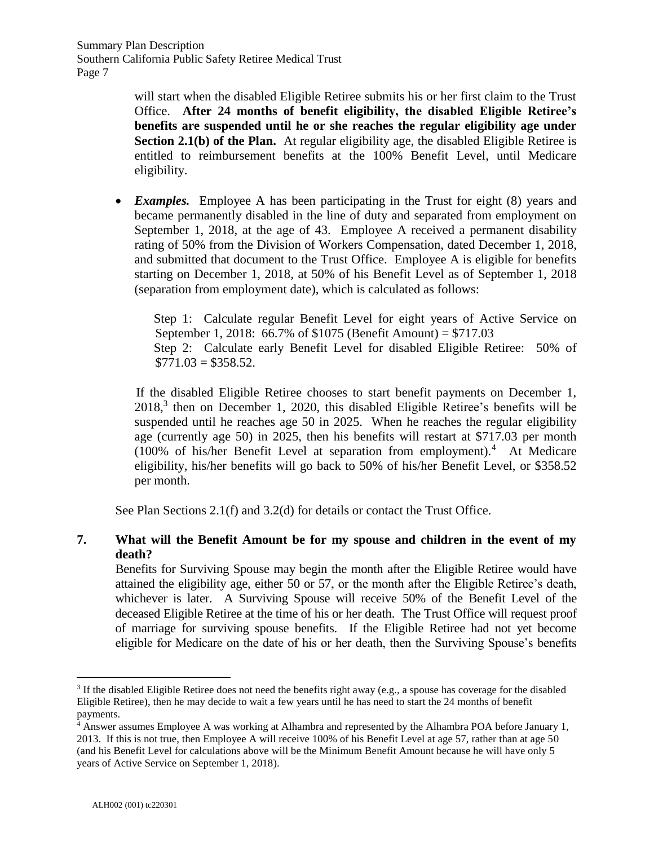will start when the disabled Eligible Retiree submits his or her first claim to the Trust Office. **After 24 months of benefit eligibility, the disabled Eligible Retiree's benefits are suspended until he or she reaches the regular eligibility age under Section 2.1(b) of the Plan.** At regular eligibility age, the disabled Eligible Retiree is entitled to reimbursement benefits at the 100% Benefit Level, until Medicare eligibility.

• *Examples.* Employee A has been participating in the Trust for eight (8) years and became permanently disabled in the line of duty and separated from employment on September 1, 2018, at the age of 43. Employee A received a permanent disability rating of 50% from the Division of Workers Compensation, dated December 1, 2018, and submitted that document to the Trust Office. Employee A is eligible for benefits starting on December 1, 2018, at 50% of his Benefit Level as of September 1, 2018 (separation from employment date), which is calculated as follows:

Step 1: Calculate regular Benefit Level for eight years of Active Service on September 1, 2018: 66.7% of \$1075 (Benefit Amount) = \$717.03 Step 2: Calculate early Benefit Level for disabled Eligible Retiree: 50% of  $$771.03 = $358.52$ .

If the disabled Eligible Retiree chooses to start benefit payments on December 1, 2018, 3 then on December 1, 2020, this disabled Eligible Retiree's benefits will be suspended until he reaches age 50 in 2025. When he reaches the regular eligibility age (currently age 50) in 2025, then his benefits will restart at \$717.03 per month (100% of his/her Benefit Level at separation from employment).<sup>4</sup> At Medicare eligibility, his/her benefits will go back to 50% of his/her Benefit Level, or \$358.52 per month.

See Plan Sections 2.1(f) and 3.2(d) for details or contact the Trust Office.

## **7. What will the Benefit Amount be for my spouse and children in the event of my death?**

Benefits for Surviving Spouse may begin the month after the Eligible Retiree would have attained the eligibility age, either 50 or 57, or the month after the Eligible Retiree's death, whichever is later. A Surviving Spouse will receive 50% of the Benefit Level of the deceased Eligible Retiree at the time of his or her death. The Trust Office will request proof of marriage for surviving spouse benefits. If the Eligible Retiree had not yet become eligible for Medicare on the date of his or her death, then the Surviving Spouse's benefits

 $\overline{a}$  $3$  If the disabled Eligible Retiree does not need the benefits right away (e.g., a spouse has coverage for the disabled Eligible Retiree), then he may decide to wait a few years until he has need to start the 24 months of benefit payments.

<sup>4</sup> Answer assumes Employee A was working at Alhambra and represented by the Alhambra POA before January 1, 2013. If this is not true, then Employee A will receive 100% of his Benefit Level at age 57, rather than at age 50 (and his Benefit Level for calculations above will be the Minimum Benefit Amount because he will have only 5 years of Active Service on September 1, 2018).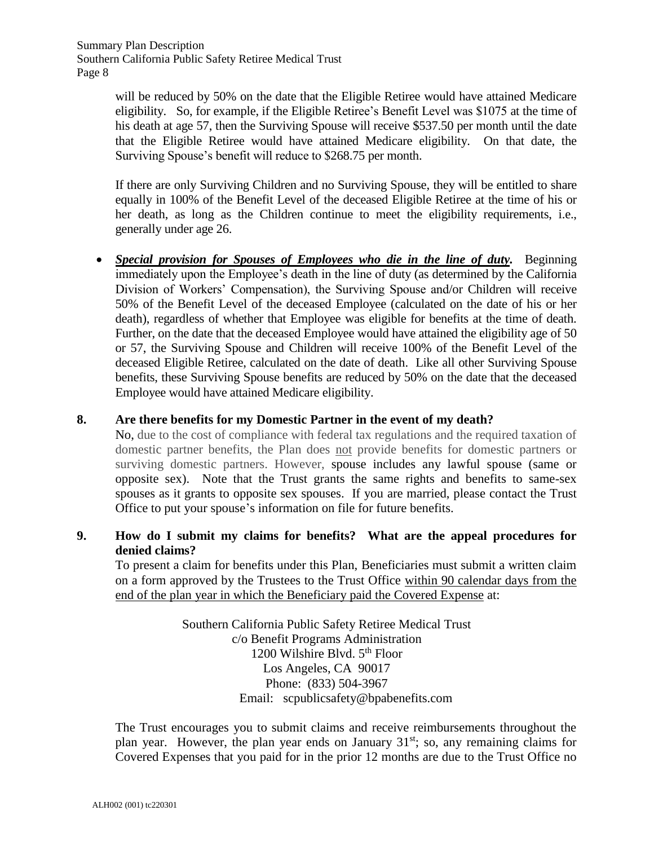will be reduced by 50% on the date that the Eligible Retiree would have attained Medicare eligibility. So, for example, if the Eligible Retiree's Benefit Level was \$1075 at the time of his death at age 57, then the Surviving Spouse will receive \$537.50 per month until the date that the Eligible Retiree would have attained Medicare eligibility. On that date, the Surviving Spouse's benefit will reduce to \$268.75 per month.

If there are only Surviving Children and no Surviving Spouse, they will be entitled to share equally in 100% of the Benefit Level of the deceased Eligible Retiree at the time of his or her death, as long as the Children continue to meet the eligibility requirements, i.e., generally under age 26.

• *Special provision for Spouses of Employees who die in the line of duty.* Beginning immediately upon the Employee's death in the line of duty (as determined by the California Division of Workers' Compensation), the Surviving Spouse and/or Children will receive 50% of the Benefit Level of the deceased Employee (calculated on the date of his or her death), regardless of whether that Employee was eligible for benefits at the time of death. Further, on the date that the deceased Employee would have attained the eligibility age of 50 or 57, the Surviving Spouse and Children will receive 100% of the Benefit Level of the deceased Eligible Retiree, calculated on the date of death. Like all other Surviving Spouse benefits, these Surviving Spouse benefits are reduced by 50% on the date that the deceased Employee would have attained Medicare eligibility.

## **8. Are there benefits for my Domestic Partner in the event of my death?**

No, due to the cost of compliance with federal tax regulations and the required taxation of domestic partner benefits, the Plan does not provide benefits for domestic partners or surviving domestic partners. However, spouse includes any lawful spouse (same or opposite sex). Note that the Trust grants the same rights and benefits to same-sex spouses as it grants to opposite sex spouses. If you are married, please contact the Trust Office to put your spouse's information on file for future benefits.

## **9. How do I submit my claims for benefits? What are the appeal procedures for denied claims?**

To present a claim for benefits under this Plan, Beneficiaries must submit a written claim on a form approved by the Trustees to the Trust Office within 90 calendar days from the end of the plan year in which the Beneficiary paid the Covered Expense at:

> Southern California Public Safety Retiree Medical Trust c/o Benefit Programs Administration 1200 Wilshire Blvd.  $5<sup>th</sup>$  Floor Los Angeles, CA 90017 Phone: (833) 504-3967 Email: scpublicsafety@bpabenefits.com

The Trust encourages you to submit claims and receive reimbursements throughout the plan year. However, the plan year ends on January  $31<sup>st</sup>$ ; so, any remaining claims for Covered Expenses that you paid for in the prior 12 months are due to the Trust Office no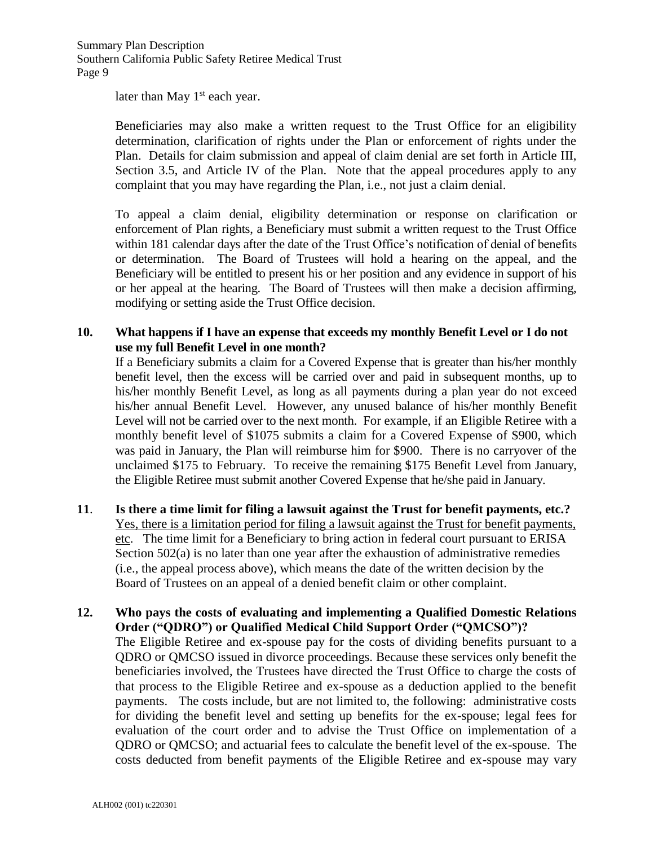later than May  $1<sup>st</sup>$  each year.

Beneficiaries may also make a written request to the Trust Office for an eligibility determination, clarification of rights under the Plan or enforcement of rights under the Plan. Details for claim submission and appeal of claim denial are set forth in Article III, Section 3.5, and Article IV of the Plan. Note that the appeal procedures apply to any complaint that you may have regarding the Plan, i.e., not just a claim denial.

To appeal a claim denial, eligibility determination or response on clarification or enforcement of Plan rights, a Beneficiary must submit a written request to the Trust Office within 181 calendar days after the date of the Trust Office's notification of denial of benefits or determination. The Board of Trustees will hold a hearing on the appeal, and the Beneficiary will be entitled to present his or her position and any evidence in support of his or her appeal at the hearing. The Board of Trustees will then make a decision affirming, modifying or setting aside the Trust Office decision.

## **10. What happens if I have an expense that exceeds my monthly Benefit Level or I do not use my full Benefit Level in one month?**

If a Beneficiary submits a claim for a Covered Expense that is greater than his/her monthly benefit level, then the excess will be carried over and paid in subsequent months, up to his/her monthly Benefit Level, as long as all payments during a plan year do not exceed his/her annual Benefit Level. However, any unused balance of his/her monthly Benefit Level will not be carried over to the next month. For example, if an Eligible Retiree with a monthly benefit level of \$1075 submits a claim for a Covered Expense of \$900, which was paid in January, the Plan will reimburse him for \$900. There is no carryover of the unclaimed \$175 to February. To receive the remaining \$175 Benefit Level from January, the Eligible Retiree must submit another Covered Expense that he/she paid in January.

- **11**. **Is there a time limit for filing a lawsuit against the Trust for benefit payments, etc.?** Yes, there is a limitation period for filing a lawsuit against the Trust for benefit payments, etc. The time limit for a Beneficiary to bring action in federal court pursuant to ERISA Section 502(a) is no later than one year after the exhaustion of administrative remedies (i.e., the appeal process above), which means the date of the written decision by the Board of Trustees on an appeal of a denied benefit claim or other complaint.
- **12. Who pays the costs of evaluating and implementing a Qualified Domestic Relations Order ("QDRO") or Qualified Medical Child Support Order ("QMCSO")?** The Eligible Retiree and ex-spouse pay for the costs of dividing benefits pursuant to a QDRO or QMCSO issued in divorce proceedings. Because these services only benefit the beneficiaries involved, the Trustees have directed the Trust Office to charge the costs of that process to the Eligible Retiree and ex-spouse as a deduction applied to the benefit payments. The costs include, but are not limited to, the following: administrative costs for dividing the benefit level and setting up benefits for the ex-spouse; legal fees for evaluation of the court order and to advise the Trust Office on implementation of a QDRO or QMCSO; and actuarial fees to calculate the benefit level of the ex-spouse. The costs deducted from benefit payments of the Eligible Retiree and ex-spouse may vary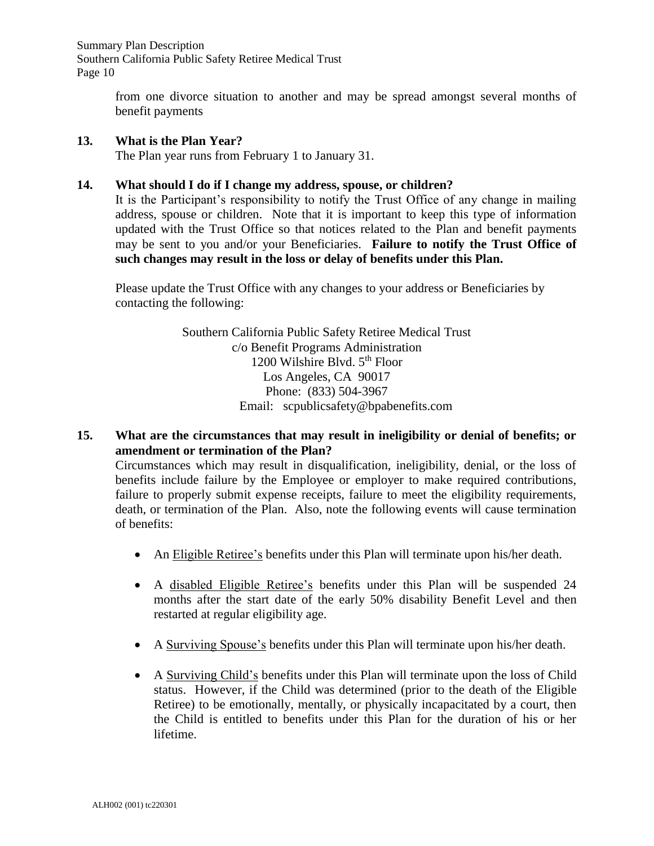Summary Plan Description Southern California Public Safety Retiree Medical Trust Page 10

> from one divorce situation to another and may be spread amongst several months of benefit payments

## **13. What is the Plan Year?**

The Plan year runs from February 1 to January 31.

## **14. What should I do if I change my address, spouse, or children?**

It is the Participant's responsibility to notify the Trust Office of any change in mailing address, spouse or children. Note that it is important to keep this type of information updated with the Trust Office so that notices related to the Plan and benefit payments may be sent to you and/or your Beneficiaries. **Failure to notify the Trust Office of such changes may result in the loss or delay of benefits under this Plan.** 

Please update the Trust Office with any changes to your address or Beneficiaries by contacting the following:

> Southern California Public Safety Retiree Medical Trust c/o Benefit Programs Administration 1200 Wilshire Blvd. 5<sup>th</sup> Floor Los Angeles, CA 90017 Phone: (833) 504-3967 Email: scpublicsafety@bpabenefits.com

**15. What are the circumstances that may result in ineligibility or denial of benefits; or amendment or termination of the Plan?**

Circumstances which may result in disqualification, ineligibility, denial, or the loss of benefits include failure by the Employee or employer to make required contributions, failure to properly submit expense receipts, failure to meet the eligibility requirements, death, or termination of the Plan. Also, note the following events will cause termination of benefits:

- An Eligible Retiree's benefits under this Plan will terminate upon his/her death.
- A disabled Eligible Retiree's benefits under this Plan will be suspended 24 months after the start date of the early 50% disability Benefit Level and then restarted at regular eligibility age.
- A Surviving Spouse's benefits under this Plan will terminate upon his/her death.
- A Surviving Child's benefits under this Plan will terminate upon the loss of Child status. However, if the Child was determined (prior to the death of the Eligible Retiree) to be emotionally, mentally, or physically incapacitated by a court, then the Child is entitled to benefits under this Plan for the duration of his or her lifetime.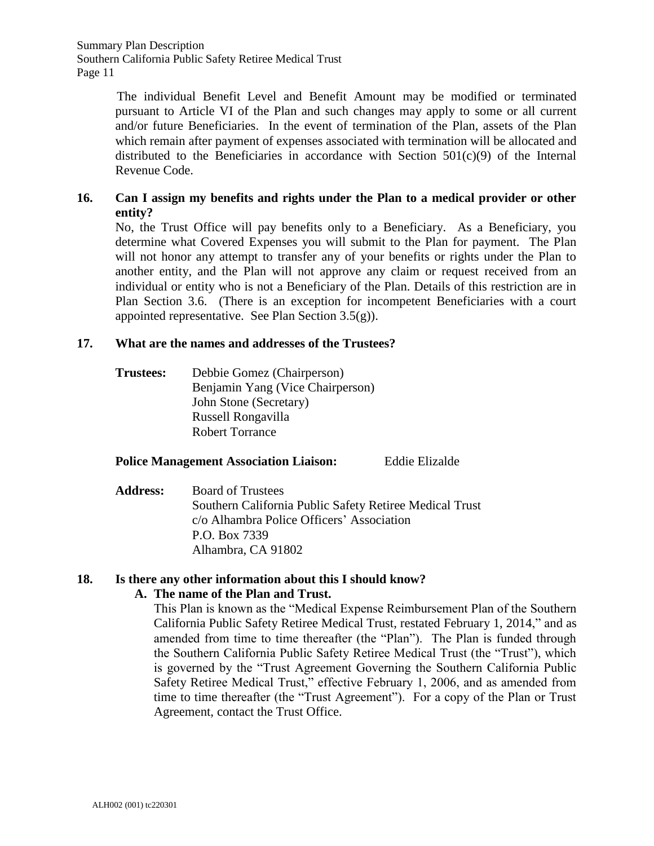The individual Benefit Level and Benefit Amount may be modified or terminated pursuant to Article VI of the Plan and such changes may apply to some or all current and/or future Beneficiaries. In the event of termination of the Plan, assets of the Plan which remain after payment of expenses associated with termination will be allocated and distributed to the Beneficiaries in accordance with Section 501(c)(9) of the Internal Revenue Code.

## **16. Can I assign my benefits and rights under the Plan to a medical provider or other entity?**

No, the Trust Office will pay benefits only to a Beneficiary. As a Beneficiary, you determine what Covered Expenses you will submit to the Plan for payment. The Plan will not honor any attempt to transfer any of your benefits or rights under the Plan to another entity, and the Plan will not approve any claim or request received from an individual or entity who is not a Beneficiary of the Plan. Details of this restriction are in Plan Section 3.6. (There is an exception for incompetent Beneficiaries with a court appointed representative. See Plan Section  $3.5(g)$ ).

## **17. What are the names and addresses of the Trustees?**

**Trustees:** Debbie Gomez (Chairperson) Benjamin Yang (Vice Chairperson) John Stone (Secretary) Russell Rongavilla Robert Torrance

## **Police Management Association Liaison:** Eddie Elizalde

**Address:** Board of Trustees Southern California Public Safety Retiree Medical Trust c/o Alhambra Police Officers' Association P.O. Box 7339 Alhambra, CA 91802

## **18. Is there any other information about this I should know?**

## **A. The name of the Plan and Trust.**

This Plan is known as the "Medical Expense Reimbursement Plan of the Southern California Public Safety Retiree Medical Trust, restated February 1, 2014," and as amended from time to time thereafter (the "Plan"). The Plan is funded through the Southern California Public Safety Retiree Medical Trust (the "Trust"), which is governed by the "Trust Agreement Governing the Southern California Public Safety Retiree Medical Trust," effective February 1, 2006, and as amended from time to time thereafter (the "Trust Agreement"). For a copy of the Plan or Trust Agreement, contact the Trust Office.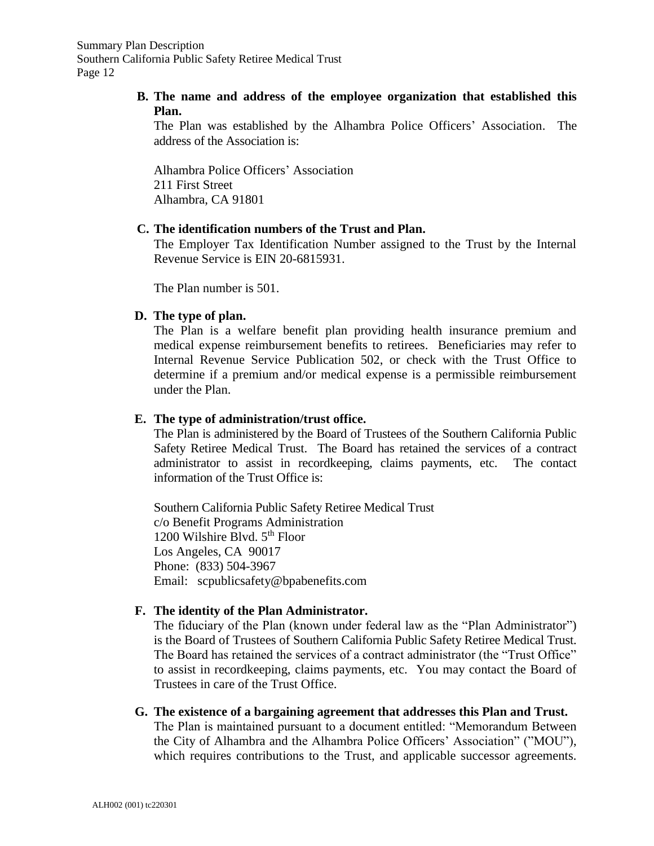## **B. The name and address of the employee organization that established this Plan.**

The Plan was established by the Alhambra Police Officers' Association. The address of the Association is:

Alhambra Police Officers' Association 211 First Street Alhambra, CA 91801

## **C. The identification numbers of the Trust and Plan.**

The Employer Tax Identification Number assigned to the Trust by the Internal Revenue Service is EIN 20-6815931.

The Plan number is 501.

#### **D. The type of plan.**

The Plan is a welfare benefit plan providing health insurance premium and medical expense reimbursement benefits to retirees. Beneficiaries may refer to Internal Revenue Service Publication 502, or check with the Trust Office to determine if a premium and/or medical expense is a permissible reimbursement under the Plan.

#### **E. The type of administration/trust office.**

The Plan is administered by the Board of Trustees of the Southern California Public Safety Retiree Medical Trust. The Board has retained the services of a contract administrator to assist in recordkeeping, claims payments, etc. The contact information of the Trust Office is:

Southern California Public Safety Retiree Medical Trust c/o Benefit Programs Administration 1200 Wilshire Blvd.  $5<sup>th</sup>$  Floor Los Angeles, CA 90017 Phone: (833) 504-3967 Email: scpublicsafety@bpabenefits.com

#### **F. The identity of the Plan Administrator.**

The fiduciary of the Plan (known under federal law as the "Plan Administrator") is the Board of Trustees of Southern California Public Safety Retiree Medical Trust. The Board has retained the services of a contract administrator (the "Trust Office" to assist in recordkeeping, claims payments, etc. You may contact the Board of Trustees in care of the Trust Office.

**G. The existence of a bargaining agreement that addresses this Plan and Trust.** The Plan is maintained pursuant to a document entitled: "Memorandum Between the City of Alhambra and the Alhambra Police Officers' Association" ("MOU"), which requires contributions to the Trust, and applicable successor agreements.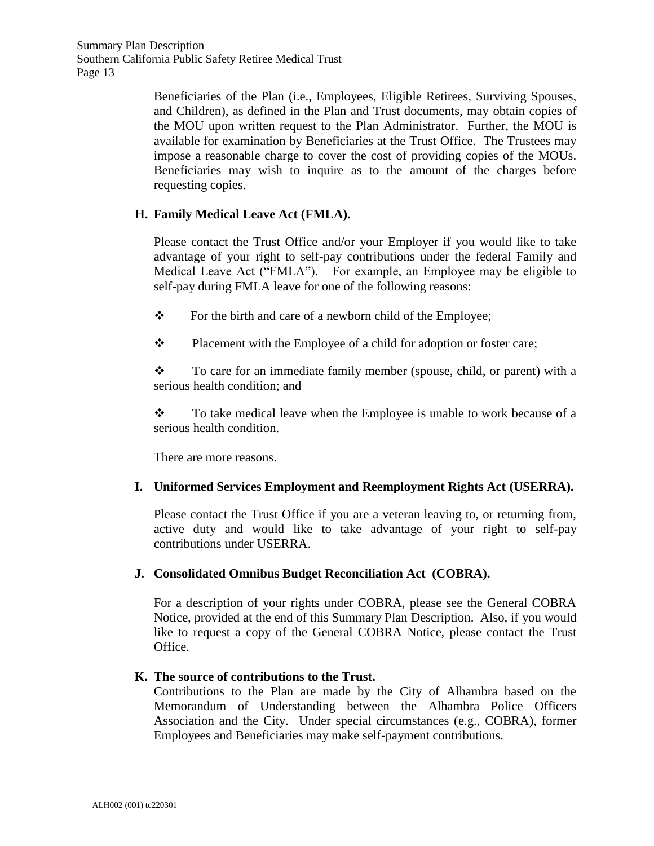Summary Plan Description Southern California Public Safety Retiree Medical Trust Page 13

> Beneficiaries of the Plan (i.e., Employees, Eligible Retirees, Surviving Spouses, and Children), as defined in the Plan and Trust documents, may obtain copies of the MOU upon written request to the Plan Administrator. Further, the MOU is available for examination by Beneficiaries at the Trust Office. The Trustees may impose a reasonable charge to cover the cost of providing copies of the MOUs. Beneficiaries may wish to inquire as to the amount of the charges before requesting copies.

## **H. Family Medical Leave Act (FMLA).**

Please contact the Trust Office and/or your Employer if you would like to take advantage of your right to self-pay contributions under the federal Family and Medical Leave Act ("FMLA"). For example, an Employee may be eligible to self-pay during FMLA leave for one of the following reasons:

❖ For the birth and care of a newborn child of the Employee;

❖ Placement with the Employee of a child for adoption or foster care;

 $\mathbf{\hat{P}}$  To care for an immediate family member (spouse, child, or parent) with a serious health condition; and

❖ To take medical leave when the Employee is unable to work because of a serious health condition.

There are more reasons.

## **I. Uniformed Services Employment and Reemployment Rights Act (USERRA).**

Please contact the Trust Office if you are a veteran leaving to, or returning from, active duty and would like to take advantage of your right to self-pay contributions under USERRA.

## **J. Consolidated Omnibus Budget Reconciliation Act (COBRA).**

For a description of your rights under COBRA, please see the General COBRA Notice, provided at the end of this Summary Plan Description. Also, if you would like to request a copy of the General COBRA Notice, please contact the Trust Office.

## **K. The source of contributions to the Trust.**

Contributions to the Plan are made by the City of Alhambra based on the Memorandum of Understanding between the Alhambra Police Officers Association and the City. Under special circumstances (e.g., COBRA), former Employees and Beneficiaries may make self-payment contributions.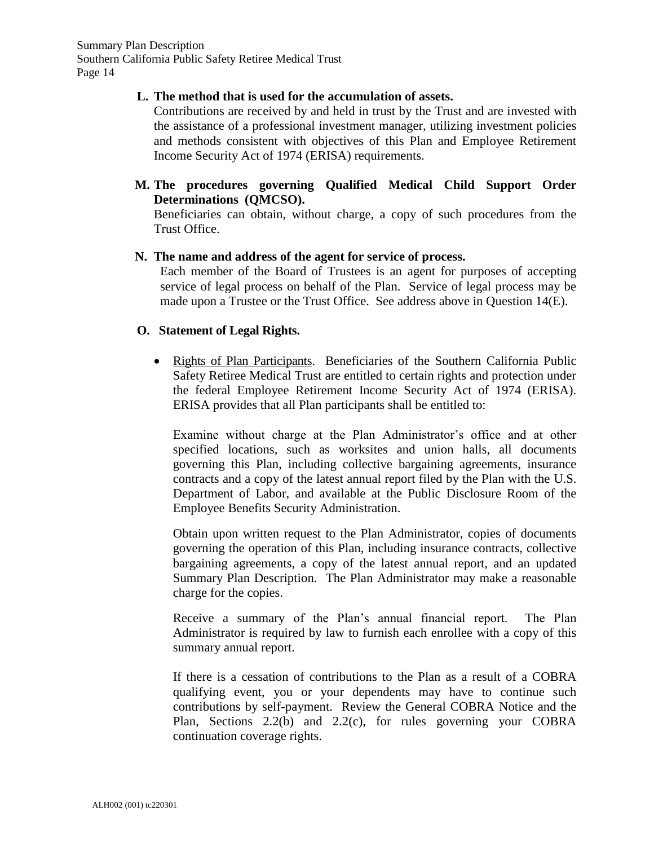## **L. The method that is used for the accumulation of assets.**

Contributions are received by and held in trust by the Trust and are invested with the assistance of a professional investment manager, utilizing investment policies and methods consistent with objectives of this Plan and Employee Retirement Income Security Act of 1974 (ERISA) requirements.

**M. The procedures governing Qualified Medical Child Support Order Determinations (QMCSO).**

Beneficiaries can obtain, without charge, a copy of such procedures from the Trust Office.

## **N. The name and address of the agent for service of process.**

Each member of the Board of Trustees is an agent for purposes of accepting service of legal process on behalf of the Plan. Service of legal process may be made upon a Trustee or the Trust Office. See address above in Question 14(E).

#### **O. Statement of Legal Rights.**

• Rights of Plan Participants. Beneficiaries of the Southern California Public Safety Retiree Medical Trust are entitled to certain rights and protection under the federal Employee Retirement Income Security Act of 1974 (ERISA). ERISA provides that all Plan participants shall be entitled to:

Examine without charge at the Plan Administrator's office and at other specified locations, such as worksites and union halls, all documents governing this Plan, including collective bargaining agreements, insurance contracts and a copy of the latest annual report filed by the Plan with the U.S. Department of Labor, and available at the Public Disclosure Room of the Employee Benefits Security Administration.

Obtain upon written request to the Plan Administrator, copies of documents governing the operation of this Plan, including insurance contracts, collective bargaining agreements, a copy of the latest annual report, and an updated Summary Plan Description. The Plan Administrator may make a reasonable charge for the copies.

Receive a summary of the Plan's annual financial report. The Plan Administrator is required by law to furnish each enrollee with a copy of this summary annual report.

If there is a cessation of contributions to the Plan as a result of a COBRA qualifying event, you or your dependents may have to continue such contributions by self-payment. Review the General COBRA Notice and the Plan, Sections 2.2(b) and 2.2(c), for rules governing your COBRA continuation coverage rights.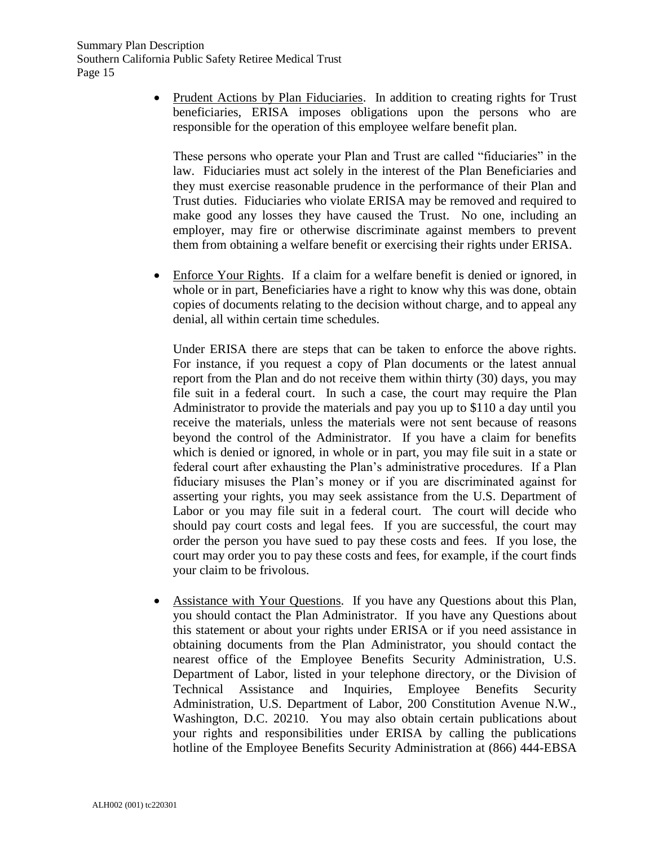• Prudent Actions by Plan Fiduciaries. In addition to creating rights for Trust beneficiaries, ERISA imposes obligations upon the persons who are responsible for the operation of this employee welfare benefit plan.

These persons who operate your Plan and Trust are called "fiduciaries" in the law. Fiduciaries must act solely in the interest of the Plan Beneficiaries and they must exercise reasonable prudence in the performance of their Plan and Trust duties. Fiduciaries who violate ERISA may be removed and required to make good any losses they have caused the Trust. No one, including an employer, may fire or otherwise discriminate against members to prevent them from obtaining a welfare benefit or exercising their rights under ERISA.

• Enforce Your Rights. If a claim for a welfare benefit is denied or ignored, in whole or in part, Beneficiaries have a right to know why this was done, obtain copies of documents relating to the decision without charge, and to appeal any denial, all within certain time schedules.

Under ERISA there are steps that can be taken to enforce the above rights. For instance, if you request a copy of Plan documents or the latest annual report from the Plan and do not receive them within thirty (30) days, you may file suit in a federal court. In such a case, the court may require the Plan Administrator to provide the materials and pay you up to \$110 a day until you receive the materials, unless the materials were not sent because of reasons beyond the control of the Administrator. If you have a claim for benefits which is denied or ignored, in whole or in part, you may file suit in a state or federal court after exhausting the Plan's administrative procedures. If a Plan fiduciary misuses the Plan's money or if you are discriminated against for asserting your rights, you may seek assistance from the U.S. Department of Labor or you may file suit in a federal court. The court will decide who should pay court costs and legal fees. If you are successful, the court may order the person you have sued to pay these costs and fees. If you lose, the court may order you to pay these costs and fees, for example, if the court finds your claim to be frivolous.

• Assistance with Your Questions. If you have any Questions about this Plan, you should contact the Plan Administrator. If you have any Questions about this statement or about your rights under ERISA or if you need assistance in obtaining documents from the Plan Administrator, you should contact the nearest office of the Employee Benefits Security Administration, U.S. Department of Labor, listed in your telephone directory, or the Division of Technical Assistance and Inquiries, Employee Benefits Security Administration, U.S. Department of Labor, 200 Constitution Avenue N.W., Washington, D.C. 20210. You may also obtain certain publications about your rights and responsibilities under ERISA by calling the publications hotline of the Employee Benefits Security Administration at (866) 444-EBSA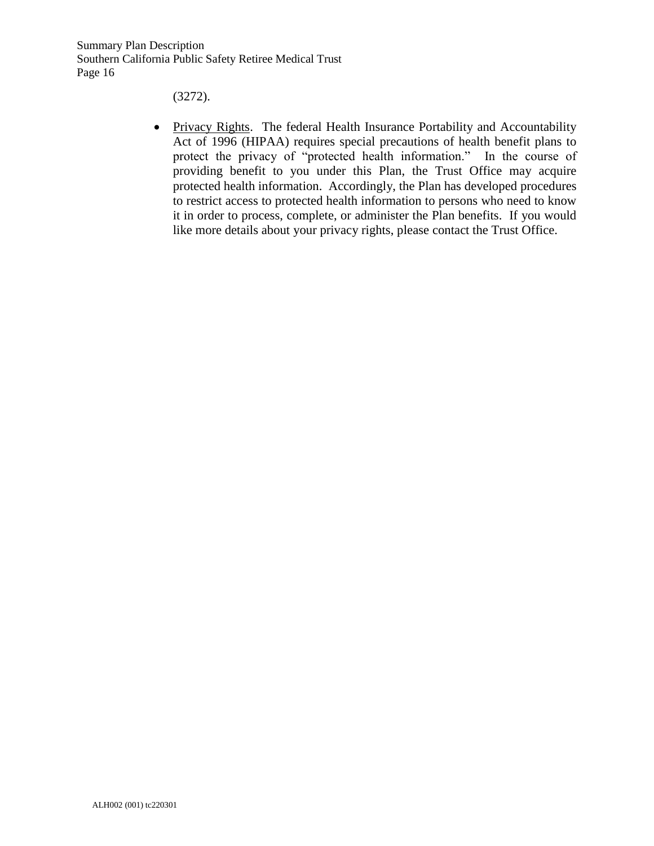Summary Plan Description Southern California Public Safety Retiree Medical Trust Page 16

(3272).

• Privacy Rights. The federal Health Insurance Portability and Accountability Act of 1996 (HIPAA) requires special precautions of health benefit plans to protect the privacy of "protected health information." In the course of providing benefit to you under this Plan, the Trust Office may acquire protected health information. Accordingly, the Plan has developed procedures to restrict access to protected health information to persons who need to know it in order to process, complete, or administer the Plan benefits. If you would like more details about your privacy rights, please contact the Trust Office.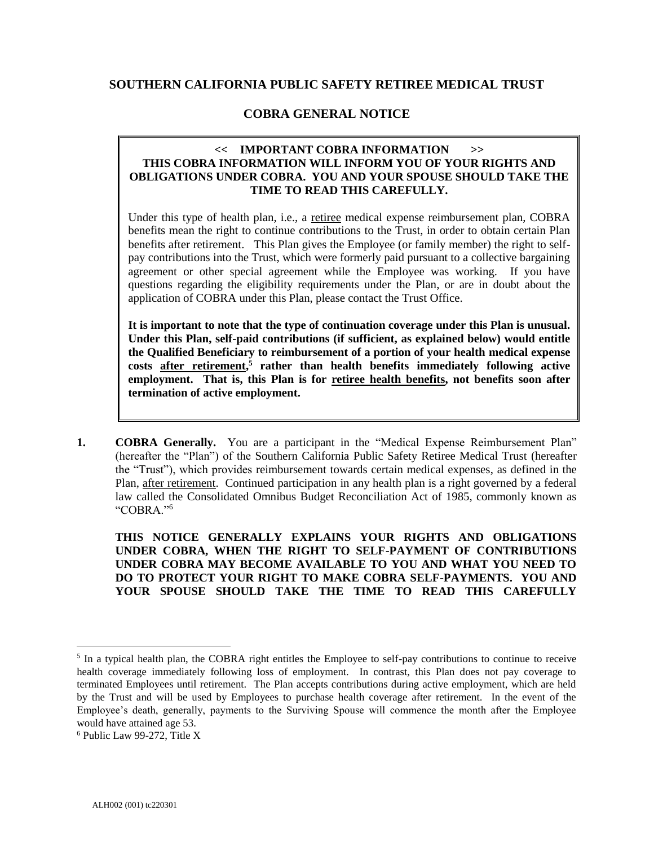#### **SOUTHERN CALIFORNIA PUBLIC SAFETY RETIREE MEDICAL TRUST**

## **COBRA GENERAL NOTICE**

#### **<< IMPORTANT COBRA INFORMATION >> THIS COBRA INFORMATION WILL INFORM YOU OF YOUR RIGHTS AND OBLIGATIONS UNDER COBRA. YOU AND YOUR SPOUSE SHOULD TAKE THE TIME TO READ THIS CAREFULLY.**

Under this type of health plan, i.e., a retiree medical expense reimbursement plan, COBRA benefits mean the right to continue contributions to the Trust, in order to obtain certain Plan benefits after retirement. This Plan gives the Employee (or family member) the right to selfpay contributions into the Trust, which were formerly paid pursuant to a collective bargaining agreement or other special agreement while the Employee was working. If you have questions regarding the eligibility requirements under the Plan, or are in doubt about the application of COBRA under this Plan, please contact the Trust Office.

**It is important to note that the type of continuation coverage under this Plan is unusual. Under this Plan, self-paid contributions (if sufficient, as explained below) would entitle the Qualified Beneficiary to reimbursement of a portion of your health medical expense costs after retirement, 5 rather than health benefits immediately following active employment. That is, this Plan is for retiree health benefits, not benefits soon after termination of active employment.**

**1. COBRA Generally.** You are a participant in the "Medical Expense Reimbursement Plan" (hereafter the "Plan") of the Southern California Public Safety Retiree Medical Trust (hereafter the "Trust"), which provides reimbursement towards certain medical expenses, as defined in the Plan, after retirement. Continued participation in any health plan is a right governed by a federal law called the Consolidated Omnibus Budget Reconciliation Act of 1985, commonly known as "COBRA."<sup>6</sup>

**THIS NOTICE GENERALLY EXPLAINS YOUR RIGHTS AND OBLIGATIONS UNDER COBRA, WHEN THE RIGHT TO SELF-PAYMENT OF CONTRIBUTIONS UNDER COBRA MAY BECOME AVAILABLE TO YOU AND WHAT YOU NEED TO DO TO PROTECT YOUR RIGHT TO MAKE COBRA SELF-PAYMENTS. YOU AND YOUR SPOUSE SHOULD TAKE THE TIME TO READ THIS CAREFULLY**

<sup>&</sup>lt;sup>5</sup> In a typical health plan, the COBRA right entitles the Employee to self-pay contributions to continue to receive health coverage immediately following loss of employment. In contrast, this Plan does not pay coverage to terminated Employees until retirement. The Plan accepts contributions during active employment, which are held by the Trust and will be used by Employees to purchase health coverage after retirement. In the event of the Employee's death, generally, payments to the Surviving Spouse will commence the month after the Employee would have attained age 53.

<sup>6</sup> Public Law 99-272, Title X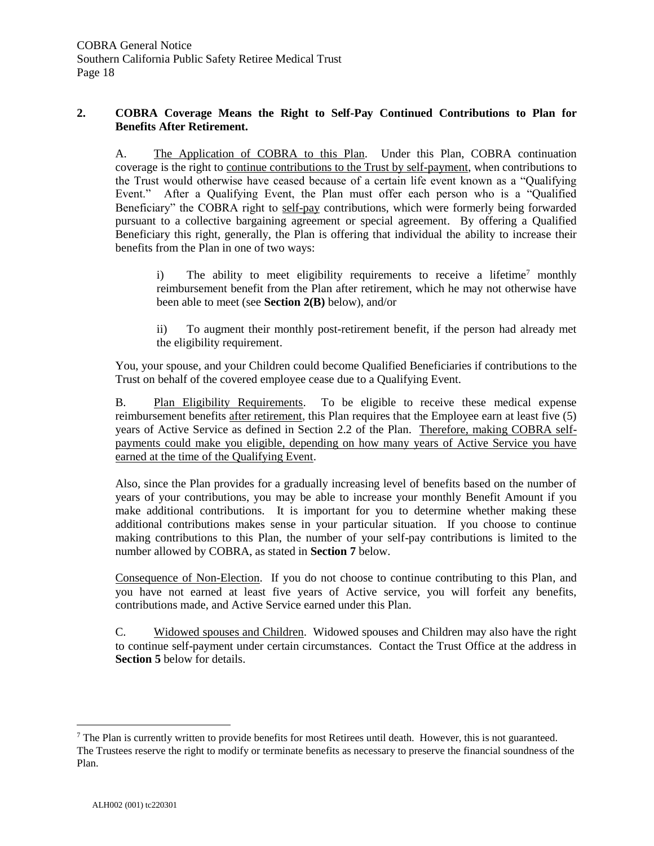#### **2. COBRA Coverage Means the Right to Self-Pay Continued Contributions to Plan for Benefits After Retirement.**

A. The Application of COBRA to this Plan. Under this Plan, COBRA continuation coverage is the right to continue contributions to the Trust by self-payment, when contributions to the Trust would otherwise have ceased because of a certain life event known as a "Qualifying Event." After a Qualifying Event, the Plan must offer each person who is a "Qualified Beneficiary" the COBRA right to self-pay contributions, which were formerly being forwarded pursuant to a collective bargaining agreement or special agreement. By offering a Qualified Beneficiary this right, generally, the Plan is offering that individual the ability to increase their benefits from the Plan in one of two ways:

i) The ability to meet eligibility requirements to receive a lifetime<sup>7</sup> monthly reimbursement benefit from the Plan after retirement, which he may not otherwise have been able to meet (see **Section 2(B)** below), and/or

ii) To augment their monthly post-retirement benefit, if the person had already met the eligibility requirement.

You, your spouse, and your Children could become Qualified Beneficiaries if contributions to the Trust on behalf of the covered employee cease due to a Qualifying Event.

B. Plan Eligibility Requirements. To be eligible to receive these medical expense reimbursement benefits after retirement, this Plan requires that the Employee earn at least five (5) years of Active Service as defined in Section 2.2 of the Plan. Therefore, making COBRA selfpayments could make you eligible, depending on how many years of Active Service you have earned at the time of the Qualifying Event.

Also, since the Plan provides for a gradually increasing level of benefits based on the number of years of your contributions, you may be able to increase your monthly Benefit Amount if you make additional contributions. It is important for you to determine whether making these additional contributions makes sense in your particular situation. If you choose to continue making contributions to this Plan, the number of your self-pay contributions is limited to the number allowed by COBRA, as stated in **Section 7** below.

Consequence of Non-Election. If you do not choose to continue contributing to this Plan, and you have not earned at least five years of Active service, you will forfeit any benefits, contributions made, and Active Service earned under this Plan.

C. Widowed spouses and Children. Widowed spouses and Children may also have the right to continue self-payment under certain circumstances. Contact the Trust Office at the address in **Section 5** below for details.

 $<sup>7</sup>$  The Plan is currently written to provide benefits for most Retirees until death. However, this is not guaranteed.</sup> The Trustees reserve the right to modify or terminate benefits as necessary to preserve the financial soundness of the Plan.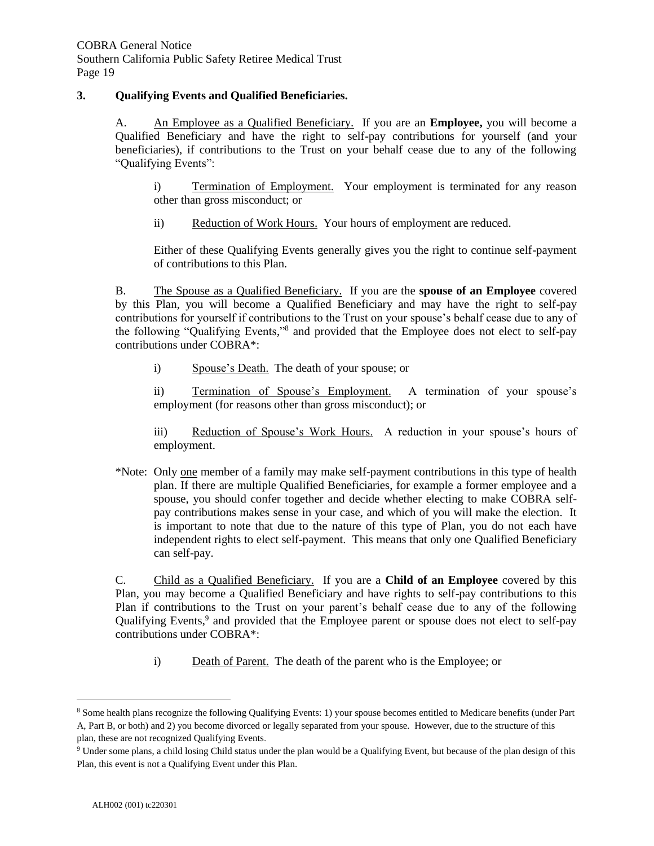#### **3. Qualifying Events and Qualified Beneficiaries.**

A. An Employee as a Qualified Beneficiary. If you are an **Employee,** you will become a Qualified Beneficiary and have the right to self-pay contributions for yourself (and your beneficiaries), if contributions to the Trust on your behalf cease due to any of the following "Qualifying Events":

i) Termination of Employment. Your employment is terminated for any reason other than gross misconduct; or

ii) Reduction of Work Hours. Your hours of employment are reduced.

Either of these Qualifying Events generally gives you the right to continue self-payment of contributions to this Plan.

B. The Spouse as a Qualified Beneficiary. If you are the **spouse of an Employee** covered by this Plan, you will become a Qualified Beneficiary and may have the right to self-pay contributions for yourself if contributions to the Trust on your spouse's behalf cease due to any of the following "Qualifying Events," 8 and provided that the Employee does not elect to self-pay contributions under COBRA\*:

i) Spouse's Death. The death of your spouse; or

ii) Termination of Spouse's Employment. A termination of your spouse's employment (for reasons other than gross misconduct); or

iii) Reduction of Spouse's Work Hours. A reduction in your spouse's hours of employment.

\*Note: Only one member of a family may make self-payment contributions in this type of health plan. If there are multiple Qualified Beneficiaries, for example a former employee and a spouse, you should confer together and decide whether electing to make COBRA selfpay contributions makes sense in your case, and which of you will make the election. It is important to note that due to the nature of this type of Plan, you do not each have independent rights to elect self-payment. This means that only one Qualified Beneficiary can self-pay.

C. Child as a Qualified Beneficiary. If you are a **Child of an Employee** covered by this Plan, you may become a Qualified Beneficiary and have rights to self-pay contributions to this Plan if contributions to the Trust on your parent's behalf cease due to any of the following Qualifying Events,<sup>9</sup> and provided that the Employee parent or spouse does not elect to self-pay contributions under COBRA\*:

i) Death of Parent. The death of the parent who is the Employee; or

<sup>8</sup> Some health plans recognize the following Qualifying Events: 1) your spouse becomes entitled to Medicare benefits (under Part A, Part B, or both) and 2) you become divorced or legally separated from your spouse. However, due to the structure of this plan, these are not recognized Qualifying Events.

<sup>9</sup> Under some plans, a child losing Child status under the plan would be a Qualifying Event, but because of the plan design of this Plan, this event is not a Qualifying Event under this Plan.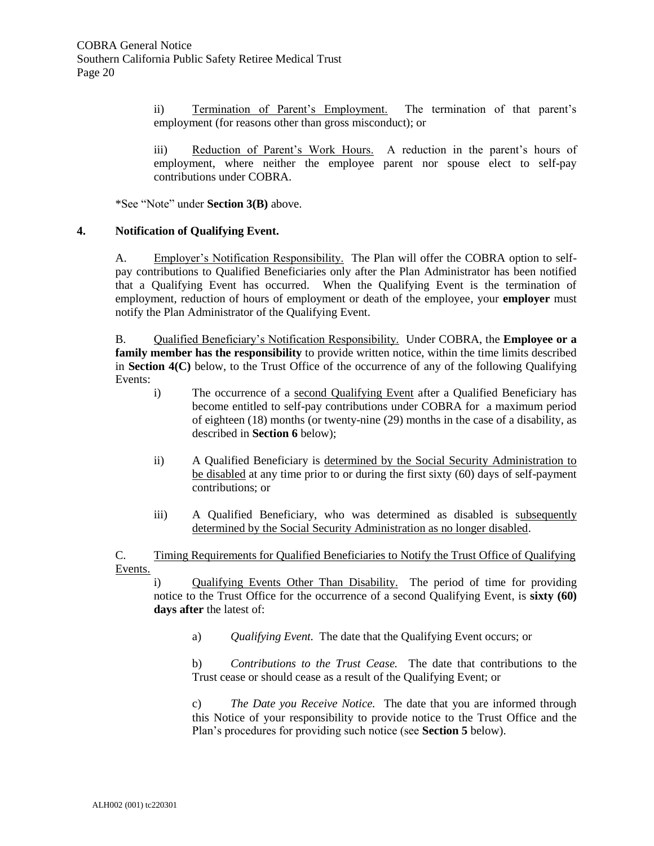ii) Termination of Parent's Employment. The termination of that parent's employment (for reasons other than gross misconduct); or

iii) Reduction of Parent's Work Hours. A reduction in the parent's hours of employment, where neither the employee parent nor spouse elect to self-pay contributions under COBRA.

\*See "Note" under **Section 3(B)** above.

#### **4. Notification of Qualifying Event.**

A. Employer's Notification Responsibility. The Plan will offer the COBRA option to selfpay contributions to Qualified Beneficiaries only after the Plan Administrator has been notified that a Qualifying Event has occurred. When the Qualifying Event is the termination of employment, reduction of hours of employment or death of the employee, your **employer** must notify the Plan Administrator of the Qualifying Event.

B. Qualified Beneficiary's Notification Responsibility. Under COBRA, the **Employee or a family member has the responsibility** to provide written notice, within the time limits described in **Section 4(C)** below, to the Trust Office of the occurrence of any of the following Qualifying Events:

- i) The occurrence of a second Qualifying Event after a Qualified Beneficiary has become entitled to self-pay contributions under COBRA for a maximum period of eighteen (18) months (or twenty-nine (29) months in the case of a disability, as described in **Section 6** below);
- ii) A Qualified Beneficiary is determined by the Social Security Administration to be disabled at any time prior to or during the first sixty (60) days of self-payment contributions; or
- iii) A Qualified Beneficiary, who was determined as disabled is subsequently determined by the Social Security Administration as no longer disabled.

C. Timing Requirements for Qualified Beneficiaries to Notify the Trust Office of Qualifying Events.

i) Qualifying Events Other Than Disability. The period of time for providing notice to the Trust Office for the occurrence of a second Qualifying Event, is **sixty (60) days after** the latest of:

a) *Qualifying Event.* The date that the Qualifying Event occurs; or

b) *Contributions to the Trust Cease.* The date that contributions to the Trust cease or should cease as a result of the Qualifying Event; or

c) *The Date you Receive Notice.* The date that you are informed through this Notice of your responsibility to provide notice to the Trust Office and the Plan's procedures for providing such notice (see **Section 5** below).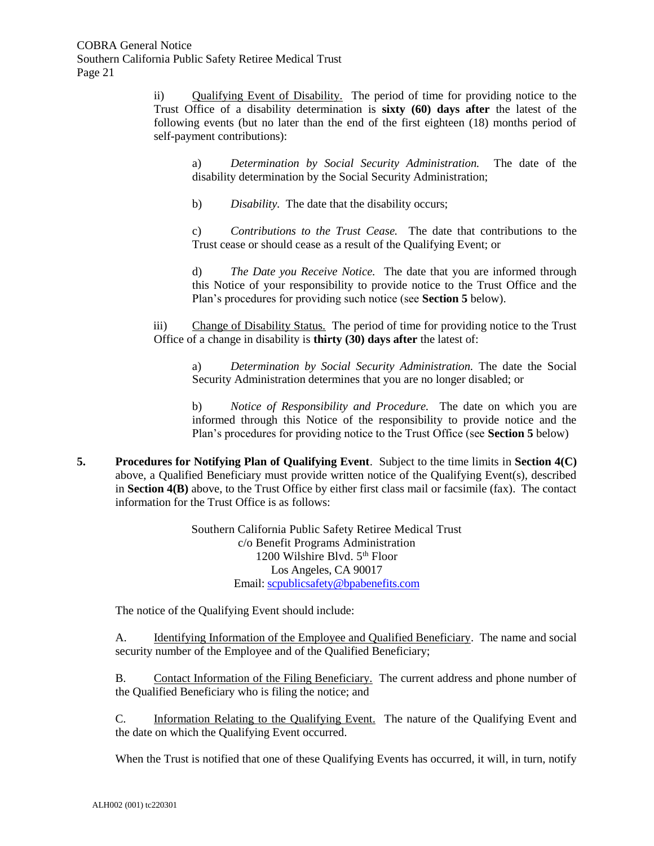ii) Qualifying Event of Disability. The period of time for providing notice to the Trust Office of a disability determination is **sixty (60) days after** the latest of the following events (but no later than the end of the first eighteen (18) months period of self-payment contributions):

a) *Determination by Social Security Administration.* The date of the disability determination by the Social Security Administration;

b) *Disability.* The date that the disability occurs;

c) *Contributions to the Trust Cease.* The date that contributions to the Trust cease or should cease as a result of the Qualifying Event; or

d) *The Date you Receive Notice.* The date that you are informed through this Notice of your responsibility to provide notice to the Trust Office and the Plan's procedures for providing such notice (see **Section 5** below).

iii) Change of Disability Status. The period of time for providing notice to the Trust Office of a change in disability is **thirty (30) days after** the latest of:

a) *Determination by Social Security Administration.* The date the Social Security Administration determines that you are no longer disabled; or

b) *Notice of Responsibility and Procedure.* The date on which you are informed through this Notice of the responsibility to provide notice and the Plan's procedures for providing notice to the Trust Office (see **Section 5** below)

**5. Procedures for Notifying Plan of Qualifying Event**. Subject to the time limits in **Section 4(C)** above, a Qualified Beneficiary must provide written notice of the Qualifying Event(s), described in **Section 4(B)** above, to the Trust Office by either first class mail or facsimile (fax). The contact information for the Trust Office is as follows:

> Southern California Public Safety Retiree Medical Trust c/o Benefit Programs Administration 1200 Wilshire Blvd.  $5<sup>th</sup>$  Floor Los Angeles, CA 90017 Email: [scpublicsafety@bpabenefits.com](mailto:scpublicsafety@bpabenefits.com)

The notice of the Qualifying Event should include:

A. <u>Identifying Information of the Employee and Qualified Beneficiary</u>. The name and social security number of the Employee and of the Qualified Beneficiary;

B. Contact Information of the Filing Beneficiary. The current address and phone number of the Qualified Beneficiary who is filing the notice; and

C. Information Relating to the Qualifying Event. The nature of the Qualifying Event and the date on which the Qualifying Event occurred.

When the Trust is notified that one of these Qualifying Events has occurred, it will, in turn, notify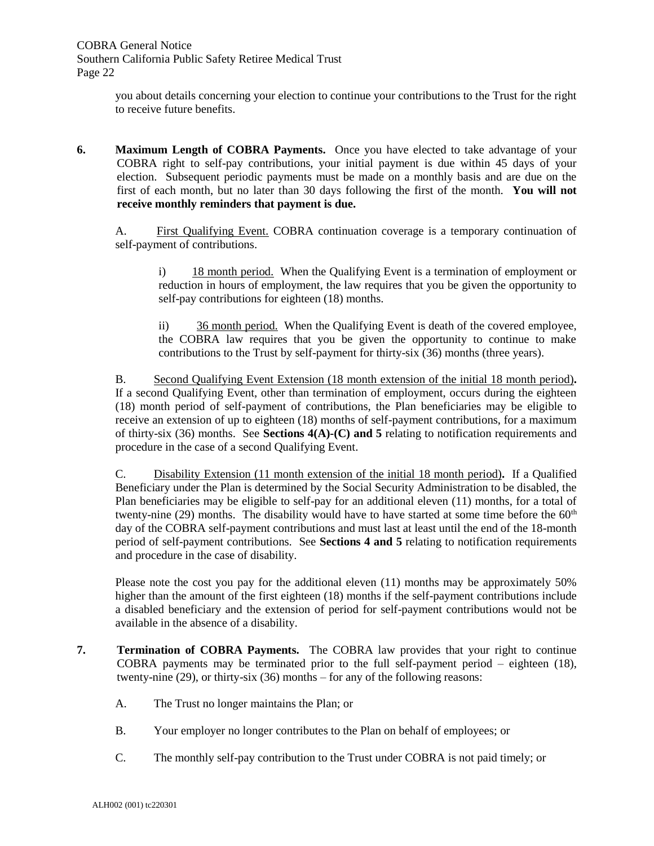you about details concerning your election to continue your contributions to the Trust for the right to receive future benefits.

**6. Maximum Length of COBRA Payments.** Once you have elected to take advantage of your COBRA right to self-pay contributions, your initial payment is due within 45 days of your election. Subsequent periodic payments must be made on a monthly basis and are due on the first of each month, but no later than 30 days following the first of the month. **You will not receive monthly reminders that payment is due.**

A. First Qualifying Event. COBRA continuation coverage is a temporary continuation of self-payment of contributions.

i) 18 month period. When the Qualifying Event is a termination of employment or reduction in hours of employment, the law requires that you be given the opportunity to self-pay contributions for eighteen (18) months.

ii) 36 month period. When the Qualifying Event is death of the covered employee, the COBRA law requires that you be given the opportunity to continue to make contributions to the Trust by self-payment for thirty-six (36) months (three years).

B. Second Qualifying Event Extension (18 month extension of the initial 18 month period)**.**  If a second Qualifying Event, other than termination of employment, occurs during the eighteen (18) month period of self-payment of contributions, the Plan beneficiaries may be eligible to receive an extension of up to eighteen (18) months of self-payment contributions, for a maximum of thirty-six (36) months. See **Sections 4(A)-(C) and 5** relating to notification requirements and procedure in the case of a second Qualifying Event.

C. Disability Extension (11 month extension of the initial 18 month period)**.** If a Qualified Beneficiary under the Plan is determined by the Social Security Administration to be disabled, the Plan beneficiaries may be eligible to self-pay for an additional eleven (11) months, for a total of twenty-nine (29) months. The disability would have to have started at some time before the  $60<sup>th</sup>$ day of the COBRA self-payment contributions and must last at least until the end of the 18-month period of self-payment contributions. See **Sections 4 and 5** relating to notification requirements and procedure in the case of disability.

Please note the cost you pay for the additional eleven (11) months may be approximately 50% higher than the amount of the first eighteen (18) months if the self-payment contributions include a disabled beneficiary and the extension of period for self-payment contributions would not be available in the absence of a disability.

- **7. Termination of COBRA Payments.** The COBRA law provides that your right to continue COBRA payments may be terminated prior to the full self-payment period – eighteen (18), twenty-nine (29), or thirty-six (36) months – for any of the following reasons:
	- A. The Trust no longer maintains the Plan; or
	- B. Your employer no longer contributes to the Plan on behalf of employees; or
	- C. The monthly self-pay contribution to the Trust under COBRA is not paid timely; or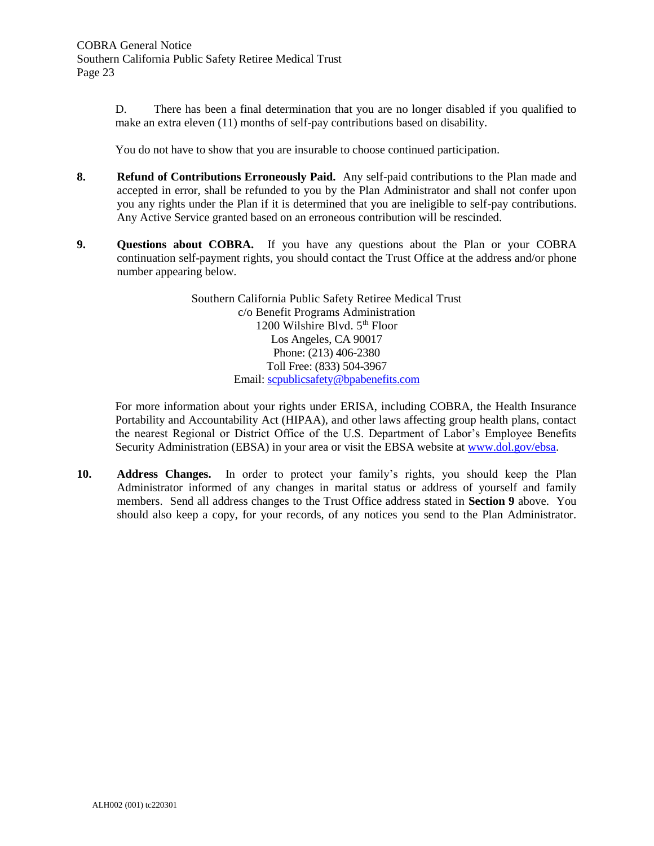D. There has been a final determination that you are no longer disabled if you qualified to make an extra eleven (11) months of self-pay contributions based on disability.

You do not have to show that you are insurable to choose continued participation.

- **8. Refund of Contributions Erroneously Paid.** Any self-paid contributions to the Plan made and accepted in error, shall be refunded to you by the Plan Administrator and shall not confer upon you any rights under the Plan if it is determined that you are ineligible to self-pay contributions. Any Active Service granted based on an erroneous contribution will be rescinded.
- **9. Questions about COBRA.** If you have any questions about the Plan or your COBRA continuation self-payment rights, you should contact the Trust Office at the address and/or phone number appearing below.

Southern California Public Safety Retiree Medical Trust c/o Benefit Programs Administration 1200 Wilshire Blvd. 5<sup>th</sup> Floor Los Angeles, CA 90017 Phone: (213) 406-2380 Toll Free: (833) 504-3967 Email: [scpublicsafety@bpabenefits.com](mailto:scpublicsafety@bpabenefits.com)

For more information about your rights under ERISA, including COBRA, the Health Insurance Portability and Accountability Act (HIPAA), and other laws affecting group health plans, contact the nearest Regional or District Office of the U.S. Department of Labor's Employee Benefits Security Administration (EBSA) in your area or visit the EBSA website at [www.dol.gov/ebsa.](http://www.dol.gov/ebsa)

**10. Address Changes.** In order to protect your family's rights, you should keep the Plan Administrator informed of any changes in marital status or address of yourself and family members.Send all address changes to the Trust Office address stated in **Section 9** above.You should also keep a copy, for your records, of any notices you send to the Plan Administrator.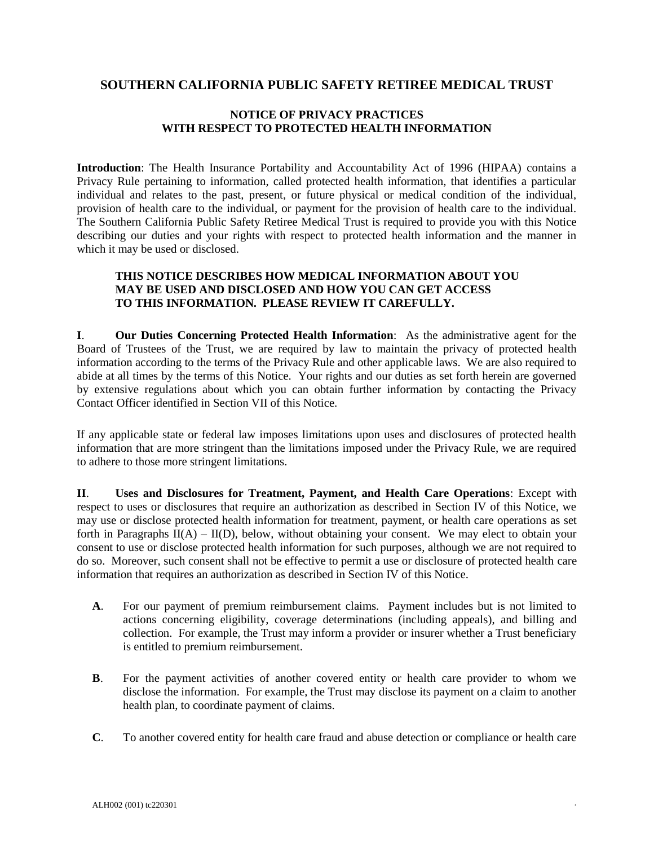## **SOUTHERN CALIFORNIA PUBLIC SAFETY RETIREE MEDICAL TRUST**

#### **NOTICE OF PRIVACY PRACTICES WITH RESPECT TO PROTECTED HEALTH INFORMATION**

**Introduction**: The Health Insurance Portability and Accountability Act of 1996 (HIPAA) contains a Privacy Rule pertaining to information, called protected health information, that identifies a particular individual and relates to the past, present, or future physical or medical condition of the individual, provision of health care to the individual, or payment for the provision of health care to the individual. The Southern California Public Safety Retiree Medical Trust is required to provide you with this Notice describing our duties and your rights with respect to protected health information and the manner in which it may be used or disclosed.

#### **THIS NOTICE DESCRIBES HOW MEDICAL INFORMATION ABOUT YOU MAY BE USED AND DISCLOSED AND HOW YOU CAN GET ACCESS TO THIS INFORMATION. PLEASE REVIEW IT CAREFULLY.**

**I**. **Our Duties Concerning Protected Health Information**: As the administrative agent for the Board of Trustees of the Trust, we are required by law to maintain the privacy of protected health information according to the terms of the Privacy Rule and other applicable laws. We are also required to abide at all times by the terms of this Notice. Your rights and our duties as set forth herein are governed by extensive regulations about which you can obtain further information by contacting the Privacy Contact Officer identified in Section VII of this Notice.

If any applicable state or federal law imposes limitations upon uses and disclosures of protected health information that are more stringent than the limitations imposed under the Privacy Rule, we are required to adhere to those more stringent limitations.

**II**. **Uses and Disclosures for Treatment, Payment, and Health Care Operations**: Except with respect to uses or disclosures that require an authorization as described in Section IV of this Notice, we may use or disclose protected health information for treatment, payment, or health care operations as set forth in Paragraphs  $II(A) - II(D)$ , below, without obtaining your consent. We may elect to obtain your consent to use or disclose protected health information for such purposes, although we are not required to do so. Moreover, such consent shall not be effective to permit a use or disclosure of protected health care information that requires an authorization as described in Section IV of this Notice.

- **A**. For our payment of premium reimbursement claims. Payment includes but is not limited to actions concerning eligibility, coverage determinations (including appeals), and billing and collection. For example, the Trust may inform a provider or insurer whether a Trust beneficiary is entitled to premium reimbursement.
- **B**. For the payment activities of another covered entity or health care provider to whom we disclose the information. For example, the Trust may disclose its payment on a claim to another health plan, to coordinate payment of claims.
- **C**. To another covered entity for health care fraud and abuse detection or compliance or health care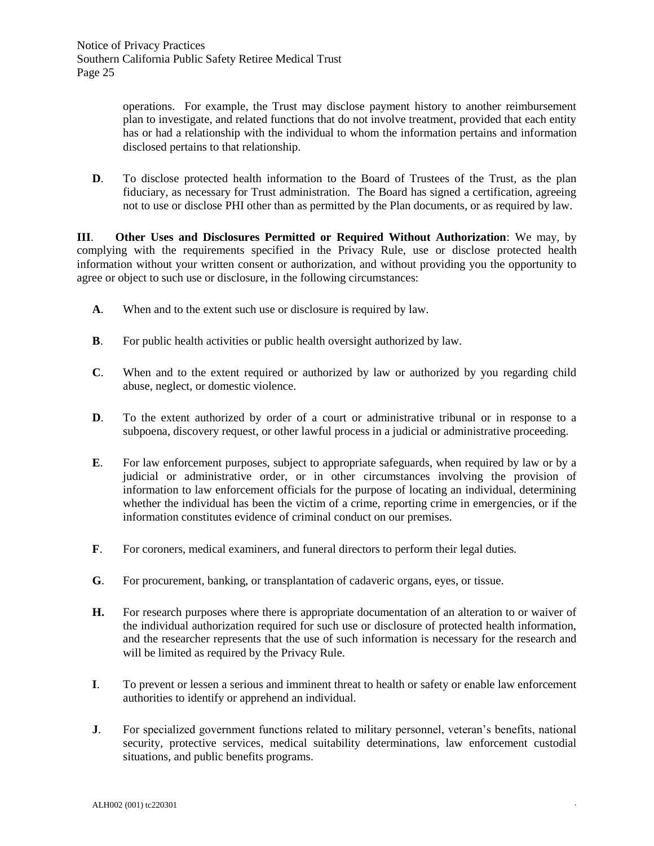operations. For example, the Trust may disclose payment history to another reimbursement plan to investigate, and related functions that do not involve treatment, provided that each entity has or had a relationship with the individual to whom the information pertains and information disclosed pertains to that relationship.

**D.** To disclose protected health information to the Board of Trustees of the Trust, as the plan fiduciary, as necessary for Trust administration. The Board has signed a certification, agreeing not to use or disclose PHI other than as permitted by the Plan documents, or as required by law.

**III**. **Other Uses and Disclosures Permitted or Required Without Authorization**: We may, by complying with the requirements specified in the Privacy Rule, use or disclose protected health information without your written consent or authorization, and without providing you the opportunity to agree or object to such use or disclosure, in the following circumstances:

- **A**. When and to the extent such use or disclosure is required by law.
- **B**. For public health activities or public health oversight authorized by law.
- **C**. When and to the extent required or authorized by law or authorized by you regarding child abuse, neglect, or domestic violence.
- **D**. To the extent authorized by order of a court or administrative tribunal or in response to a subpoena, discovery request, or other lawful process in a judicial or administrative proceeding.
- **E**. For law enforcement purposes, subject to appropriate safeguards, when required by law or by a judicial or administrative order, or in other circumstances involving the provision of information to law enforcement officials for the purpose of locating an individual, determining whether the individual has been the victim of a crime, reporting crime in emergencies, or if the information constitutes evidence of criminal conduct on our premises.
- **F**. For coroners, medical examiners, and funeral directors to perform their legal duties.
- **G**. For procurement, banking, or transplantation of cadaveric organs, eyes, or tissue.
- **H.** For research purposes where there is appropriate documentation of an alteration to or waiver of the individual authorization required for such use or disclosure of protected health information, and the researcher represents that the use of such information is necessary for the research and will be limited as required by the Privacy Rule.
- **I**. To prevent or lessen a serious and imminent threat to health or safety or enable law enforcement authorities to identify or apprehend an individual.
- **J**. For specialized government functions related to military personnel, veteran's benefits, national security, protective services, medical suitability determinations, law enforcement custodial situations, and public benefits programs.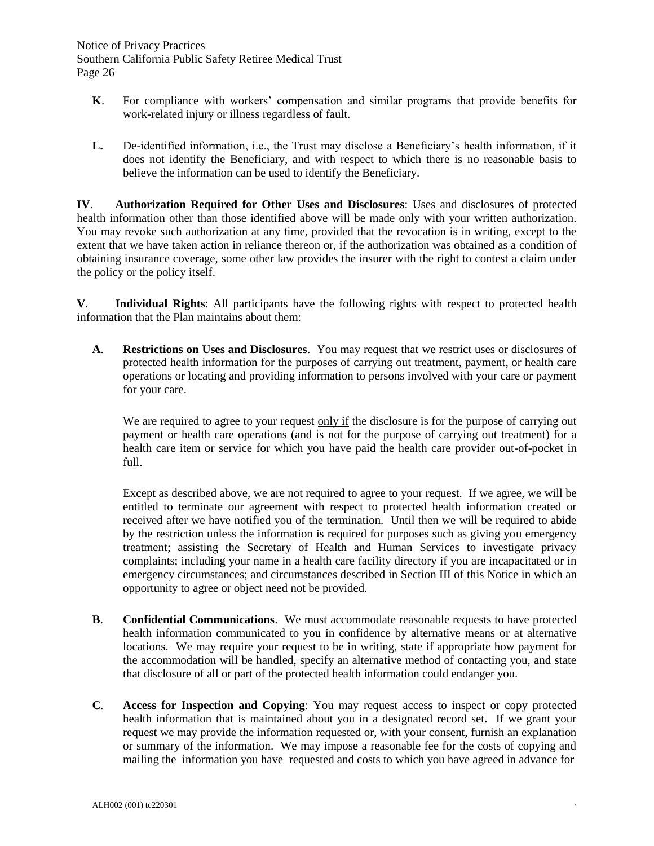Notice of Privacy Practices Southern California Public Safety Retiree Medical Trust Page 26

- **K**. For compliance with workers' compensation and similar programs that provide benefits for work-related injury or illness regardless of fault.
- **L.** De-identified information, i.e., the Trust may disclose a Beneficiary's health information, if it does not identify the Beneficiary, and with respect to which there is no reasonable basis to believe the information can be used to identify the Beneficiary.

**IV**. **Authorization Required for Other Uses and Disclosures**: Uses and disclosures of protected health information other than those identified above will be made only with your written authorization. You may revoke such authorization at any time, provided that the revocation is in writing, except to the extent that we have taken action in reliance thereon or, if the authorization was obtained as a condition of obtaining insurance coverage, some other law provides the insurer with the right to contest a claim under the policy or the policy itself.

**V**. **Individual Rights**: All participants have the following rights with respect to protected health information that the Plan maintains about them:

**A**. **Restrictions on Uses and Disclosures**. You may request that we restrict uses or disclosures of protected health information for the purposes of carrying out treatment, payment, or health care operations or locating and providing information to persons involved with your care or payment for your care.

We are required to agree to your request  $\frac{only}{if}$  the disclosure is for the purpose of carrying out payment or health care operations (and is not for the purpose of carrying out treatment) for a health care item or service for which you have paid the health care provider out-of-pocket in full.

Except as described above, we are not required to agree to your request. If we agree, we will be entitled to terminate our agreement with respect to protected health information created or received after we have notified you of the termination. Until then we will be required to abide by the restriction unless the information is required for purposes such as giving you emergency treatment; assisting the Secretary of Health and Human Services to investigate privacy complaints; including your name in a health care facility directory if you are incapacitated or in emergency circumstances; and circumstances described in Section III of this Notice in which an opportunity to agree or object need not be provided.

- **B**. **Confidential Communications**. We must accommodate reasonable requests to have protected health information communicated to you in confidence by alternative means or at alternative locations. We may require your request to be in writing, state if appropriate how payment for the accommodation will be handled, specify an alternative method of contacting you, and state that disclosure of all or part of the protected health information could endanger you.
- **C***.* **Access for Inspection and Copying**: You may request access to inspect or copy protected health information that is maintained about you in a designated record set. If we grant your request we may provide the information requested or, with your consent, furnish an explanation or summary of the information. We may impose a reasonable fee for the costs of copying and mailing the information you have requested and costs to which you have agreed in advance for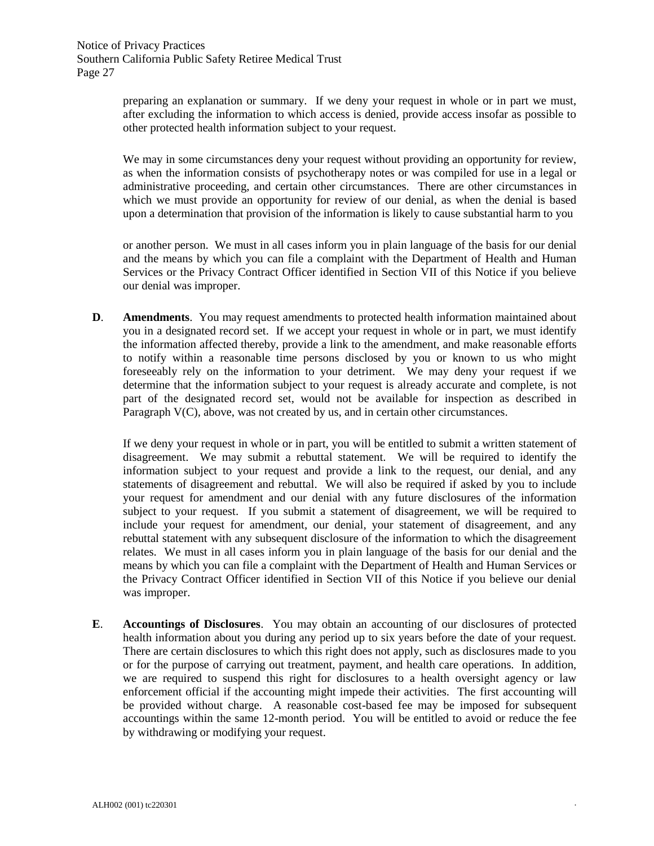preparing an explanation or summary. If we deny your request in whole or in part we must, after excluding the information to which access is denied, provide access insofar as possible to other protected health information subject to your request.

We may in some circumstances deny your request without providing an opportunity for review, as when the information consists of psychotherapy notes or was compiled for use in a legal or administrative proceeding, and certain other circumstances. There are other circumstances in which we must provide an opportunity for review of our denial, as when the denial is based upon a determination that provision of the information is likely to cause substantial harm to you

or another person. We must in all cases inform you in plain language of the basis for our denial and the means by which you can file a complaint with the Department of Health and Human Services or the Privacy Contract Officer identified in Section VII of this Notice if you believe our denial was improper.

**D**. **Amendments**. You may request amendments to protected health information maintained about you in a designated record set. If we accept your request in whole or in part, we must identify the information affected thereby, provide a link to the amendment, and make reasonable efforts to notify within a reasonable time persons disclosed by you or known to us who might foreseeably rely on the information to your detriment. We may deny your request if we determine that the information subject to your request is already accurate and complete, is not part of the designated record set, would not be available for inspection as described in Paragraph V(C), above, was not created by us, and in certain other circumstances.

If we deny your request in whole or in part, you will be entitled to submit a written statement of disagreement. We may submit a rebuttal statement. We will be required to identify the information subject to your request and provide a link to the request, our denial, and any statements of disagreement and rebuttal. We will also be required if asked by you to include your request for amendment and our denial with any future disclosures of the information subject to your request. If you submit a statement of disagreement, we will be required to include your request for amendment, our denial, your statement of disagreement, and any rebuttal statement with any subsequent disclosure of the information to which the disagreement relates. We must in all cases inform you in plain language of the basis for our denial and the means by which you can file a complaint with the Department of Health and Human Services or the Privacy Contract Officer identified in Section VII of this Notice if you believe our denial was improper.

**E**. **Accountings of Disclosures**. You may obtain an accounting of our disclosures of protected health information about you during any period up to six years before the date of your request. There are certain disclosures to which this right does not apply, such as disclosures made to you or for the purpose of carrying out treatment, payment, and health care operations. In addition, we are required to suspend this right for disclosures to a health oversight agency or law enforcement official if the accounting might impede their activities. The first accounting will be provided without charge. A reasonable cost-based fee may be imposed for subsequent accountings within the same 12-month period. You will be entitled to avoid or reduce the fee by withdrawing or modifying your request.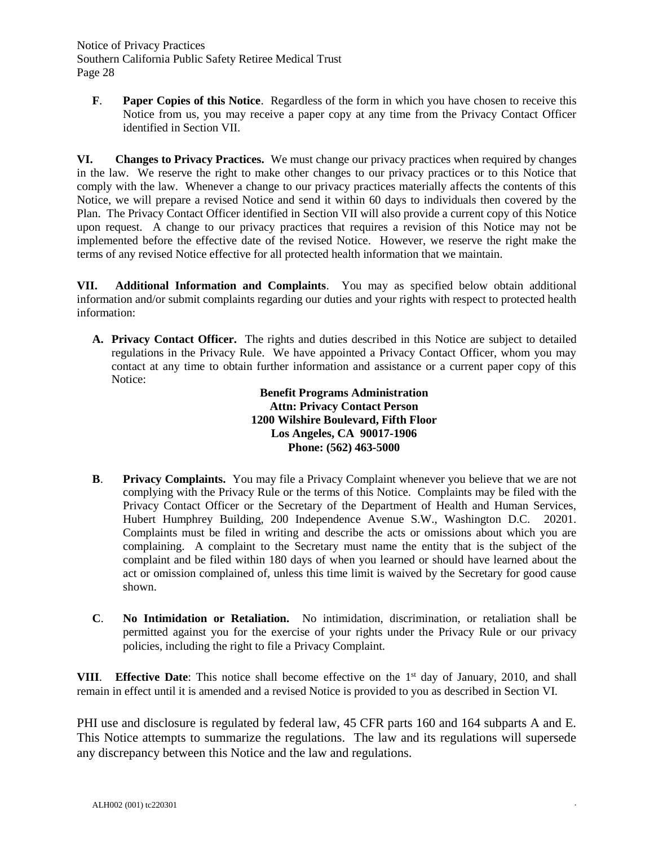Notice of Privacy Practices Southern California Public Safety Retiree Medical Trust Page 28

**F***.* **Paper Copies of this Notice**.Regardless of the form in which you have chosen to receive this Notice from us, you may receive a paper copy at any time from the Privacy Contact Officer identified in Section VII.

**VI. Changes to Privacy Practices.** We must change our privacy practices when required by changes in the law. We reserve the right to make other changes to our privacy practices or to this Notice that comply with the law. Whenever a change to our privacy practices materially affects the contents of this Notice, we will prepare a revised Notice and send it within 60 days to individuals then covered by the Plan. The Privacy Contact Officer identified in Section VII will also provide a current copy of this Notice upon request. A change to our privacy practices that requires a revision of this Notice may not be implemented before the effective date of the revised Notice. However, we reserve the right make the terms of any revised Notice effective for all protected health information that we maintain.

**VII. Additional Information and Complaints**. You may as specified below obtain additional information and/or submit complaints regarding our duties and your rights with respect to protected health information:

**A. Privacy Contact Officer.** The rights and duties described in this Notice are subject to detailed regulations in the Privacy Rule. We have appointed a Privacy Contact Officer, whom you may contact at any time to obtain further information and assistance or a current paper copy of this Notice:

> **Benefit Programs Administration Attn: Privacy Contact Person 1200 Wilshire Boulevard, Fifth Floor Los Angeles, CA 90017-1906 Phone: (562) 463-5000**

- **B**. **Privacy Complaints.** You may file a Privacy Complaint whenever you believe that we are not complying with the Privacy Rule or the terms of this Notice. Complaints may be filed with the Privacy Contact Officer or the Secretary of the Department of Health and Human Services, Hubert Humphrey Building, 200 Independence Avenue S.W., Washington D.C. 20201. Complaints must be filed in writing and describe the acts or omissions about which you are complaining. A complaint to the Secretary must name the entity that is the subject of the complaint and be filed within 180 days of when you learned or should have learned about the act or omission complained of, unless this time limit is waived by the Secretary for good cause shown.
- **C**. **No Intimidation or Retaliation.** No intimidation, discrimination, or retaliation shall be permitted against you for the exercise of your rights under the Privacy Rule or our privacy policies, including the right to file a Privacy Complaint.

**VIII.** Effective Date: This notice shall become effective on the 1<sup>st</sup> day of January, 2010, and shall remain in effect until it is amended and a revised Notice is provided to you as described in Section VI.

PHI use and disclosure is regulated by federal law, 45 CFR parts 160 and 164 subparts A and E. This Notice attempts to summarize the regulations. The law and its regulations will supersede any discrepancy between this Notice and the law and regulations.